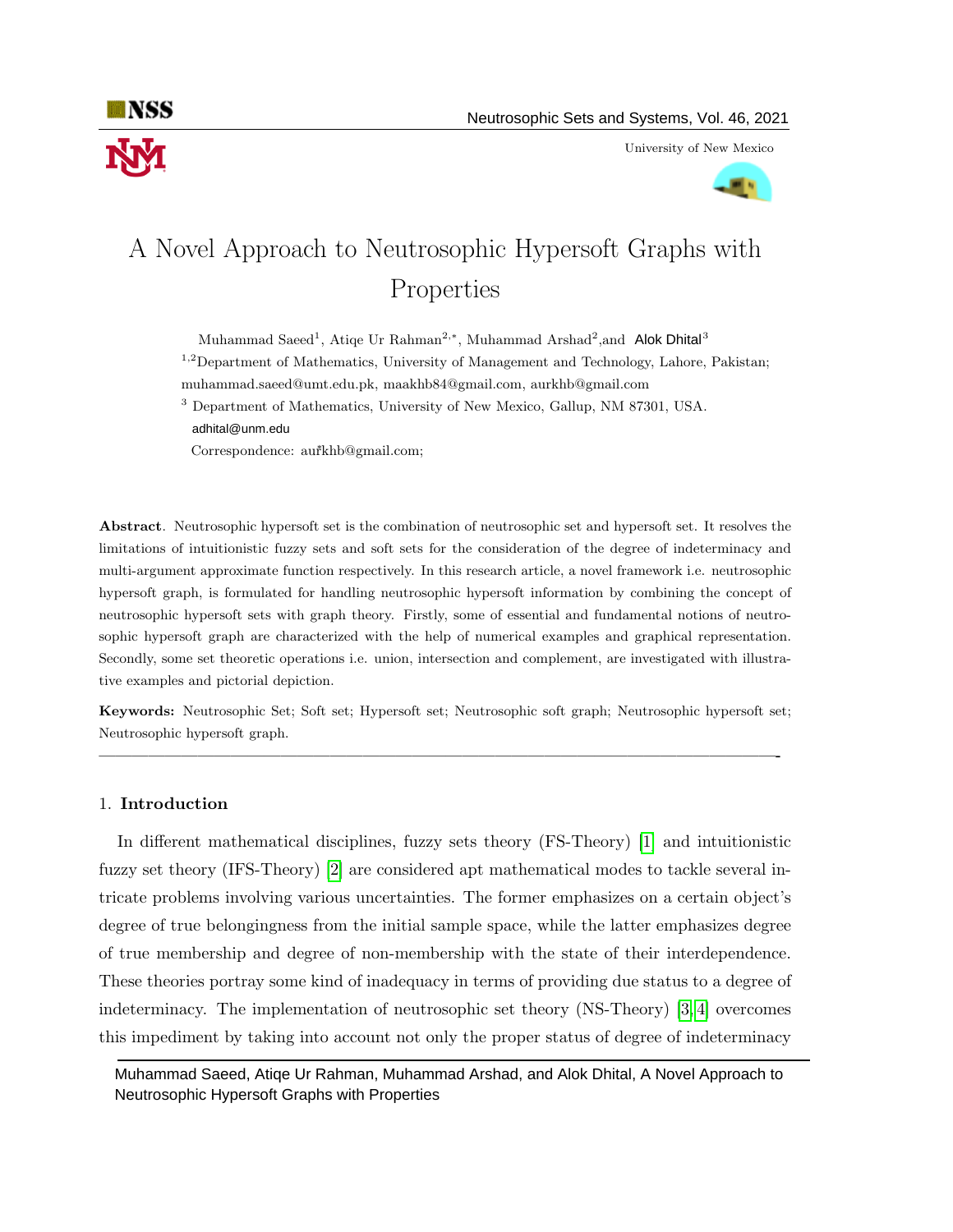

University of New Mexico



# A Novel Approach to Neutrosophic Hypersoft Graphs with Properties

Muhammad Saeed<sup>1</sup>, Atiqe Ur Rahman<sup>2,\*</sup>, Muhammad Arshad<sup>2</sup>, and Alok Dhital<sup>3</sup>

<sup>1,2</sup>Department of Mathematics, University of Management and Technology, Lahore, Pakistan;

muhammad.saeed@umt.edu.pk, maakhb84@gmail.com, aurkhb@gmail.com

<sup>3</sup> Department of Mathematics, University of New Mexico, Gallup, NM 87301, USA. adhital@unm.edu

<sup>∗</sup> Correspondence: aurkhb@gmail.com;

Abstract. Neutrosophic hypersoft set is the combination of neutrosophic set and hypersoft set. It resolves the limitations of intuitionistic fuzzy sets and soft sets for the consideration of the degree of indeterminacy and multi-argument approximate function respectively. In this research article, a novel framework i.e. neutrosophic hypersoft graph, is formulated for handling neutrosophic hypersoft information by combining the concept of neutrosophic hypersoft sets with graph theory. Firstly, some of essential and fundamental notions of neutrosophic hypersoft graph are characterized with the help of numerical examples and graphical representation. Secondly, some set theoretic operations i.e. union, intersection and complement, are investigated with illustrative examples and pictorial depiction.

Keywords: Neutrosophic Set; Soft set; Hypersoft set; Neutrosophic soft graph; Neutrosophic hypersoft set; Neutrosophic hypersoft graph.

—————————————————————————————————————————-

## 1. Introduction

In different mathematical disciplines, fuzzy sets theory (FS-Theory) [\[1\]](#page-17-0) and intuitionistic fuzzy set theory (IFS-Theory) [\[2\]](#page-17-1) are considered apt mathematical modes to tackle several intricate problems involving various uncertainties. The former emphasizes on a certain object's degree of true belongingness from the initial sample space, while the latter emphasizes degree of true membership and degree of non-membership with the state of their interdependence. These theories portray some kind of inadequacy in terms of providing due status to a degree of indeterminacy. The implementation of neutrosophic set theory (NS-Theory) [\[3,](#page-17-2) [4\]](#page-17-3) overcomes this impediment by taking into account not only the proper status of degree of indeterminacy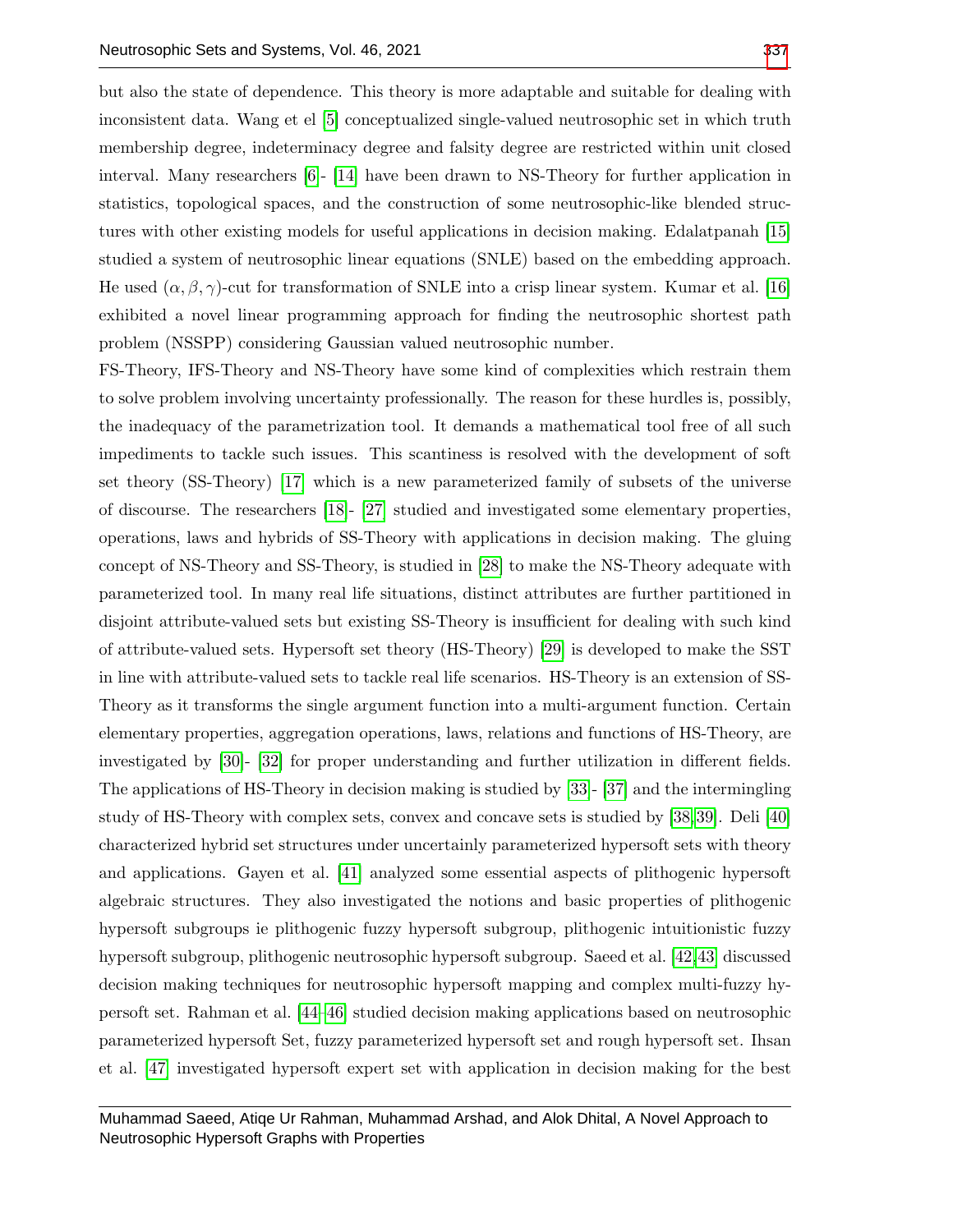but also the state of dependence. This theory is more adaptable and suitable for dealing with inconsistent data. Wang et el [\[5\]](#page-17-4) conceptualized single-valued neutrosophic set in which truth membership degree, indeterminacy degree and falsity degree are restricted within unit closed interval. Many researchers [\[6\]](#page-17-5)- [\[14\]](#page-17-6) have been drawn to NS-Theory for further application in statistics, topological spaces, and the construction of some neutrosophic-like blended structures with other existing models for useful applications in decision making. Edalatpanah [\[15\]](#page-17-7) studied a system of neutrosophic linear equations (SNLE) based on the embedding approach. He used  $(\alpha, \beta, \gamma)$ -cut for transformation of SNLE into a crisp linear system. Kumar et al. [\[16\]](#page-17-8) exhibited a novel linear programming approach for finding the neutrosophic shortest path

problem (NSSPP) considering Gaussian valued neutrosophic number.

FS-Theory, IFS-Theory and NS-Theory have some kind of complexities which restrain them to solve problem involving uncertainty professionally. The reason for these hurdles is, possibly, the inadequacy of the parametrization tool. It demands a mathematical tool free of all such impediments to tackle such issues. This scantiness is resolved with the development of soft set theory (SS-Theory) [\[17\]](#page-17-9) which is a new parameterized family of subsets of the universe of discourse. The researchers [\[18\]](#page-17-10)- [\[27\]](#page-18-0) studied and investigated some elementary properties, operations, laws and hybrids of SS-Theory with applications in decision making. The gluing concept of NS-Theory and SS-Theory, is studied in [\[28\]](#page-18-1) to make the NS-Theory adequate with parameterized tool. In many real life situations, distinct attributes are further partitioned in disjoint attribute-valued sets but existing SS-Theory is insufficient for dealing with such kind of attribute-valued sets. Hypersoft set theory (HS-Theory) [\[29\]](#page-18-2) is developed to make the SST in line with attribute-valued sets to tackle real life scenarios. HS-Theory is an extension of SS-Theory as it transforms the single argument function into a multi-argument function. Certain elementary properties, aggregation operations, laws, relations and functions of HS-Theory, are investigated by [\[30\]](#page-18-3)- [\[32\]](#page-18-4) for proper understanding and further utilization in different fields. The applications of HS-Theory in decision making is studied by [\[33\]](#page-18-5)- [\[37\]](#page-18-6) and the intermingling study of HS-Theory with complex sets, convex and concave sets is studied by [\[38,](#page-18-7)[39\]](#page-18-8). Deli [\[40\]](#page-18-9) characterized hybrid set structures under uncertainly parameterized hypersoft sets with theory and applications. Gayen et al. [\[41\]](#page-18-10) analyzed some essential aspects of plithogenic hypersoft algebraic structures. They also investigated the notions and basic properties of plithogenic hypersoft subgroups ie plithogenic fuzzy hypersoft subgroup, plithogenic intuitionistic fuzzy hypersoft subgroup, plithogenic neutrosophic hypersoft subgroup. Saeed et al. [\[42,](#page-18-11)[43\]](#page-19-1) discussed decision making techniques for neutrosophic hypersoft mapping and complex multi-fuzzy hypersoft set. Rahman et al. [\[44](#page-19-2)[–46\]](#page-19-3) studied decision making applications based on neutrosophic parameterized hypersoft Set, fuzzy parameterized hypersoft set and rough hypersoft set. Ihsan et al. [\[47\]](#page-19-4) investigated hypersoft expert set with application in decision making for the best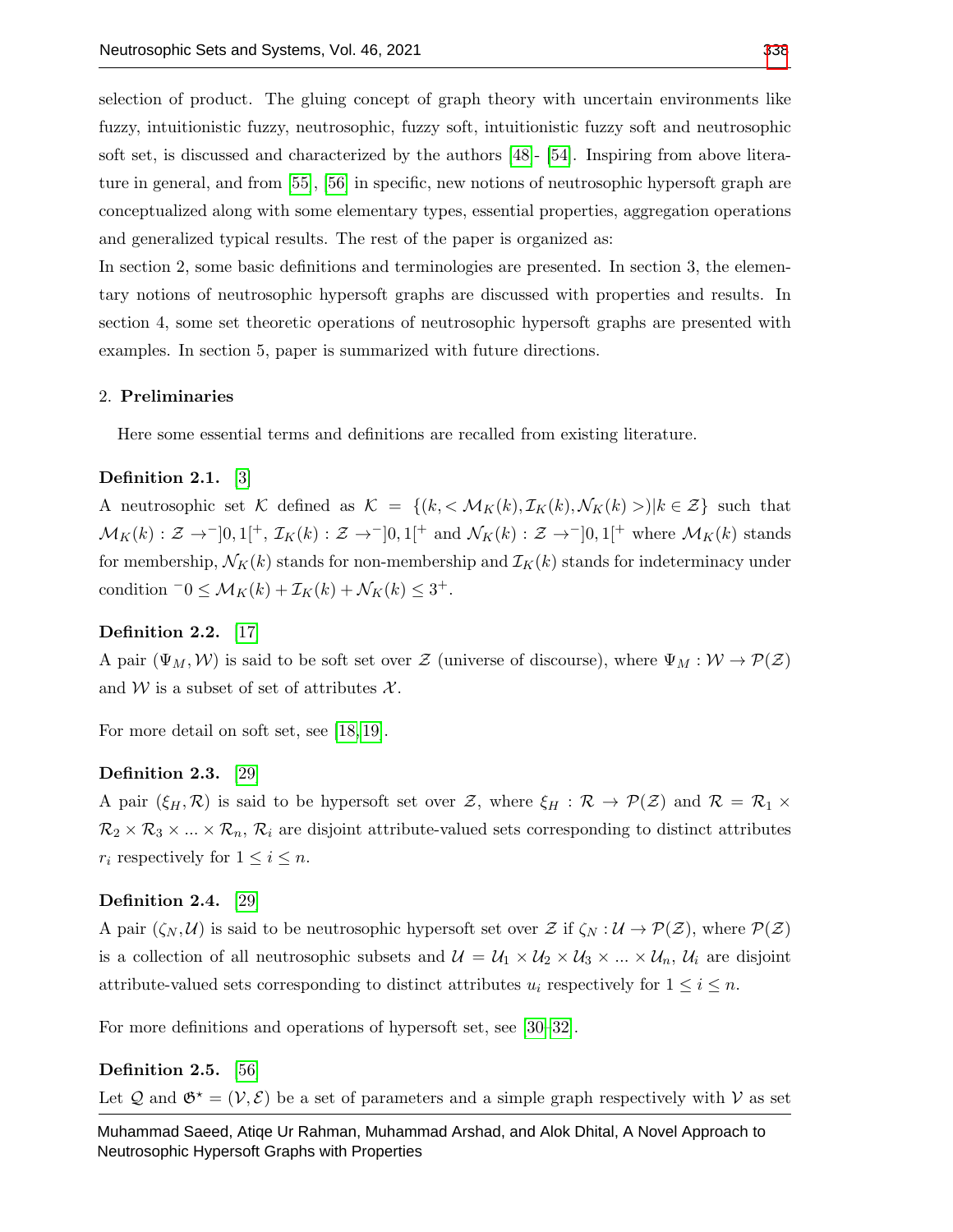selection of product. The gluing concept of graph theory with uncertain environments like fuzzy, intuitionistic fuzzy, neutrosophic, fuzzy soft, intuitionistic fuzzy soft and neutrosophic soft set, is discussed and characterized by the authors [\[48\]](#page-19-5)- [\[54\]](#page-19-6). Inspiring from above literature in general, and from [\[55\]](#page-19-7), [\[56\]](#page-19-8) in specific, new notions of neutrosophic hypersoft graph are conceptualized along with some elementary types, essential properties, aggregation operations and generalized typical results. The rest of the paper is organized as:

In section 2, some basic definitions and terminologies are presented. In section 3, the elementary notions of neutrosophic hypersoft graphs are discussed with properties and results. In section 4, some set theoretic operations of neutrosophic hypersoft graphs are presented with examples. In section 5, paper is summarized with future directions.

#### 2. Preliminaries

Here some essential terms and definitions are recalled from existing literature.

# Definition 2.1. [\[3\]](#page-17-2)

A neutrosophic set K defined as  $\mathcal{K} = \{(k, \langle \mathcal{M}_K(k), \mathcal{I}_K(k), \mathcal{N}_K(k) \rangle | k \in \mathcal{Z}\}\)$  such that  $\mathcal{M}_K(k): \mathcal{Z} \to [0,1[^+, \mathcal{I}_K(k): \mathcal{Z} \to [0,1[^+] \text{ and } \mathcal{N}_K(k): \mathcal{Z} \to [0,1[^+] \text{ where } \mathcal{M}_K(k) \text{ stands}$ for membership,  $\mathcal{N}_K(k)$  stands for non-membership and  $\mathcal{I}_K(k)$  stands for indeterminacy under condition  $-0 \leq \mathcal{M}_K(k) + \mathcal{I}_K(k) + \mathcal{N}_K(k) \leq 3^+.$ 

# Definition 2.2. [\[17\]](#page-17-9)

A pair  $(\Psi_M, \mathcal{W})$  is said to be soft set over Z (universe of discourse), where  $\Psi_M : \mathcal{W} \to \mathcal{P}(\mathcal{Z})$ and W is a subset of set of attributes  $\mathcal{X}$ .

For more detail on soft set, see [\[18,](#page-17-10) [19\]](#page-17-11).

#### Definition 2.3. [\[29\]](#page-18-2)

A pair  $(\xi_H, \mathcal{R})$  is said to be hypersoft set over Z, where  $\xi_H : \mathcal{R} \to \mathcal{P}(\mathcal{Z})$  and  $\mathcal{R} = \mathcal{R}_1 \times$  $\mathcal{R}_2 \times \mathcal{R}_3 \times ... \times \mathcal{R}_n$ ,  $\mathcal{R}_i$  are disjoint attribute-valued sets corresponding to distinct attributes  $r_i$  respectively for  $1 \leq i \leq n$ .

### Definition 2.4. [\[29\]](#page-18-2)

A pair  $(\zeta_N, \mathcal{U})$  is said to be neutrosophic hypersoft set over  $\mathcal{Z}$  if  $\zeta_N : \mathcal{U} \to \mathcal{P}(\mathcal{Z})$ , where  $\mathcal{P}(\mathcal{Z})$ is a collection of all neutrosophic subsets and  $\mathcal{U} = \mathcal{U}_1 \times \mathcal{U}_2 \times \mathcal{U}_3 \times ... \times \mathcal{U}_n$ ,  $\mathcal{U}_i$  are disjoint attribute-valued sets corresponding to distinct attributes  $u_i$  respectively for  $1 \leq i \leq n$ .

For more definitions and operations of hypersoft set, see [\[30–](#page-18-3)[32\]](#page-18-4).

#### Definition 2.5. [\[56\]](#page-19-8)

Let  $\mathcal Q$  and  $\mathfrak{G}^* = (\mathcal{V}, \mathcal{E})$  be a set of parameters and a simple graph respectively with V as set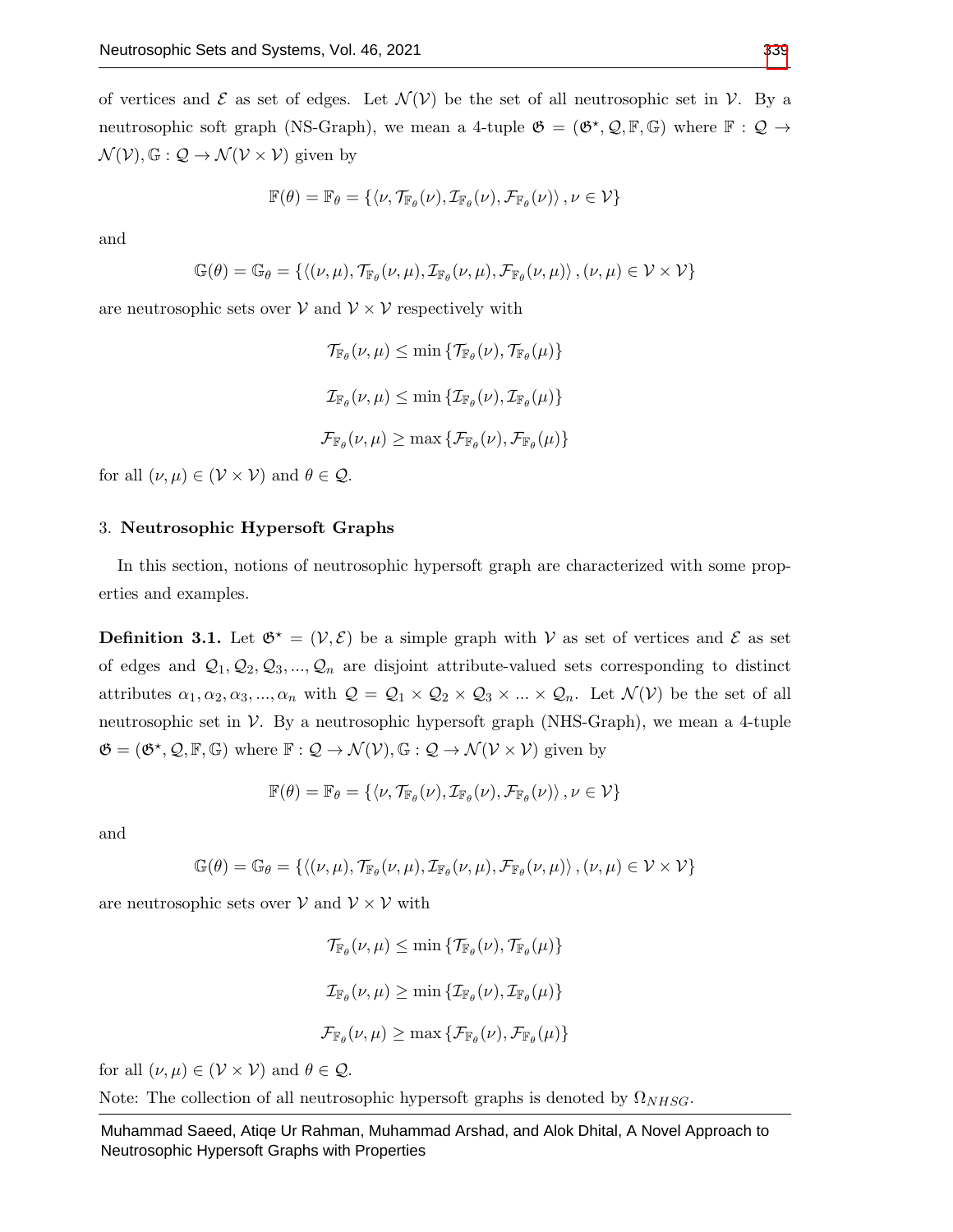of vertices and  $\mathcal E$  as set of edges. Let  $\mathcal N(\mathcal V)$  be the set of all neutrosophic set in  $\mathcal V$ . By a neutrosophic soft graph (NS-Graph), we mean a 4-tuple  $\mathfrak{G} = (\mathfrak{G}^{\star}, \mathcal{Q}, \mathbb{F}, \mathbb{G})$  where  $\mathbb{F} : \mathcal{Q} \to$  $\mathcal{N}(\mathcal{V}), \mathbb{G}: \mathcal{Q} \to \mathcal{N}(\mathcal{V} \times \mathcal{V})$  given by

$$
\mathbb{F}(\theta) = \mathbb{F}_{\theta} = \left\{ \left\langle \nu, \mathcal{T}_{\mathbb{F}_{\theta}}(\nu), \mathcal{I}_{\mathbb{F}_{\theta}}(\nu), \mathcal{F}_{\mathbb{F}_{\theta}}(\nu) \right\rangle, \nu \in \mathcal{V} \right\}
$$

and

$$
\mathbb{G}(\theta)=\mathbb{G}_{\theta}=\{\left\langle (\nu,\mu),\mathcal{T}_{\mathbb{F}_{\theta}}(\nu,\mu),\mathcal{I}_{\mathbb{F}_{\theta}}(\nu,\mu),\mathcal{F}_{\mathbb{F}_{\theta}}(\nu,\mu)\right\rangle,(\nu,\mu)\in\mathcal{V}\times\mathcal{V}\}
$$

are neutrosophic sets over  $V$  and  $V \times V$  respectively with

$$
\mathcal{T}_{\mathbb{F}_{\theta}}(\nu,\mu) \leq \min \{ \mathcal{T}_{\mathbb{F}_{\theta}}(\nu), \mathcal{T}_{\mathbb{F}_{\theta}}(\mu) \}
$$
  

$$
\mathcal{I}_{\mathbb{F}_{\theta}}(\nu,\mu) \leq \min \{ \mathcal{I}_{\mathbb{F}_{\theta}}(\nu), \mathcal{I}_{\mathbb{F}_{\theta}}(\mu) \}
$$
  

$$
\mathcal{F}_{\mathbb{F}_{\theta}}(\nu,\mu) \geq \max \{ \mathcal{F}_{\mathbb{F}_{\theta}}(\nu), \mathcal{F}_{\mathbb{F}_{\theta}}(\mu) \}
$$

for all  $(\nu, \mu) \in (\mathcal{V} \times \mathcal{V})$  and  $\theta \in \mathcal{Q}$ .

#### 3. Neutrosophic Hypersoft Graphs

In this section, notions of neutrosophic hypersoft graph are characterized with some properties and examples.

<span id="page-3-0"></span>**Definition 3.1.** Let  $\mathfrak{G}^* = (\mathcal{V}, \mathcal{E})$  be a simple graph with V as set of vertices and  $\mathcal{E}$  as set of edges and  $\mathcal{Q}_1, \mathcal{Q}_2, \mathcal{Q}_3, ..., \mathcal{Q}_n$  are disjoint attribute-valued sets corresponding to distinct attributes  $\alpha_1, \alpha_2, \alpha_3, ..., \alpha_n$  with  $\mathcal{Q} = \mathcal{Q}_1 \times \mathcal{Q}_2 \times \mathcal{Q}_3 \times ... \times \mathcal{Q}_n$ . Let  $\mathcal{N}(\mathcal{V})$  be the set of all neutrosophic set in  $V$ . By a neutrosophic hypersoft graph (NHS-Graph), we mean a 4-tuple  $\mathfrak{G} = (\mathfrak{G}^*, \mathcal{Q}, \mathbb{F}, \mathbb{G})$  where  $\mathbb{F} : \mathcal{Q} \to \mathcal{N}(\mathcal{V}), \mathbb{G} : \mathcal{Q} \to \mathcal{N}(\mathcal{V} \times \mathcal{V})$  given by

$$
\mathbb{F}(\theta) = \mathbb{F}_{\theta} = \{ \langle \nu, \mathcal{T}_{\mathbb{F}_{\theta}}(\nu), \mathcal{I}_{\mathbb{F}_{\theta}}(\nu), \mathcal{F}_{\mathbb{F}_{\theta}}(\nu) \rangle \}, \nu \in \mathcal{V} \}
$$

and

$$
\mathbb{G}(\theta) = \mathbb{G}_{\theta} = \left\{ \left\langle (\nu, \mu), \mathcal{T}_{\mathbb{F}_{\theta}}(\nu, \mu), \mathcal{I}_{\mathbb{F}_{\theta}}(\nu, \mu), \mathcal{F}_{\mathbb{F}_{\theta}}(\nu, \mu) \right\rangle, (\nu, \mu) \in \mathcal{V} \times \mathcal{V} \right\}
$$

are neutrosophic sets over  $V$  and  $V \times V$  with

$$
\mathcal{T}_{\mathbb{F}_{\theta}}(\nu,\mu) \leq \min \{ \mathcal{T}_{\mathbb{F}_{\theta}}(\nu), \mathcal{T}_{\mathbb{F}_{\theta}}(\mu) \}
$$
  

$$
\mathcal{I}_{\mathbb{F}_{\theta}}(\nu,\mu) \geq \min \{ \mathcal{I}_{\mathbb{F}_{\theta}}(\nu), \mathcal{I}_{\mathbb{F}_{\theta}}(\mu) \}
$$
  

$$
\mathcal{F}_{\mathbb{F}_{\theta}}(\nu,\mu) \geq \max \{ \mathcal{F}_{\mathbb{F}_{\theta}}(\nu), \mathcal{F}_{\mathbb{F}_{\theta}}(\mu) \}
$$

for all  $(\nu, \mu) \in (\mathcal{V} \times \mathcal{V})$  and  $\theta \in \mathcal{Q}$ .

Note: The collection of all neutrosophic hypersoft graphs is denoted by  $\Omega_{NHSG}$ .

Muhammad Saeed, Atiqe Ur Rahman, Muhammad Arshad, and Alok Dhital, A Novel Approach to Neutrosophic Hypersoft Graphs with Properties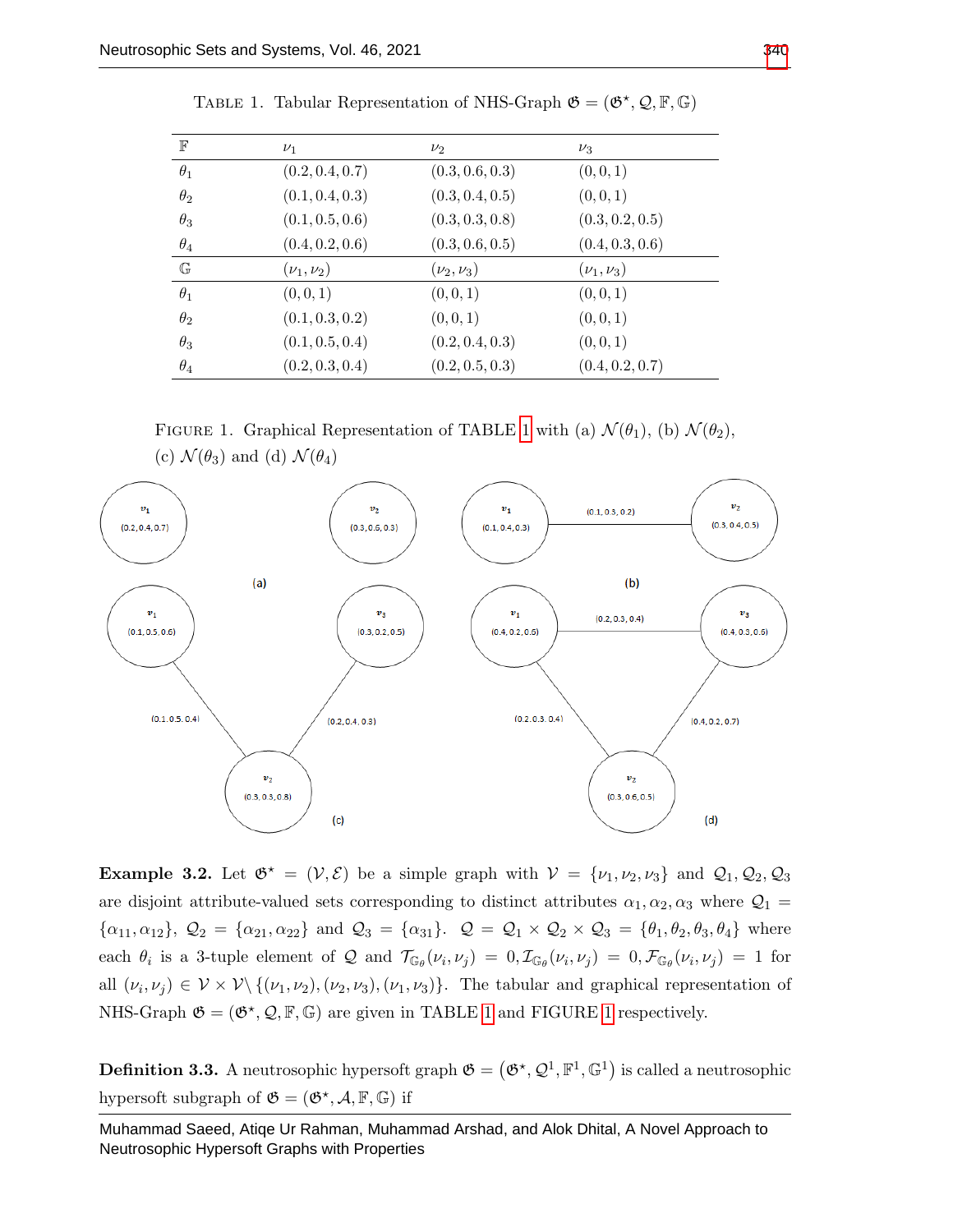<span id="page-4-0"></span>

| $\mathbb F$  | $\nu_1$              | $\nu_2$          | $\nu_3$          |
|--------------|----------------------|------------------|------------------|
| $\theta_1$   | (0.2, 0.4, 0.7)      | (0.3, 0.6, 0.3)  | (0,0,1)          |
| $\theta_2$   | (0.1, 0.4, 0.3)      | (0.3, 0.4, 0.5)  | (0,0,1)          |
| $\theta_3$   | (0.1, 0.5, 0.6)      | (0.3, 0.3, 0.8)  | (0.3, 0.2, 0.5)  |
| $\theta_4$   | (0.4, 0.2, 0.6)      | (0.3, 0.6, 0.5)  | (0.4, 0.3, 0.6)  |
| $\mathbb{G}$ | $(\nu_{1}, \nu_{2})$ | $(\nu_2, \nu_3)$ | $(\nu_1, \nu_3)$ |
| $\theta_1$   | (0,0,1)              | (0,0,1)          | (0,0,1)          |
| $\theta_2$   | (0.1, 0.3, 0.2)      | (0,0,1)          | (0,0,1)          |
| $\theta_3$   | (0.1, 0.5, 0.4)      | (0.2, 0.4, 0.3)  | (0,0,1)          |
| $\theta_4$   | (0.2, 0.3, 0.4)      | (0.2, 0.5, 0.3)  | (0.4, 0.2, 0.7)  |

TABLE 1. Tabular Representation of NHS-Graph  $\mathfrak{G} = (\mathfrak{G}^*, \mathcal{Q}, \mathbb{F}, \mathbb{G})$ 

<span id="page-4-1"></span>FIGURE [1](#page-4-0). Graphical Representation of TABLE 1 with (a)  $\mathcal{N}(\theta_1)$ , (b)  $\mathcal{N}(\theta_2)$ , (c)  $\mathcal{N}(\theta_3)$  and (d)  $\mathcal{N}(\theta_4)$ 



**Example 3.2.** Let  $\mathfrak{G}^* = (\mathcal{V}, \mathcal{E})$  be a simple graph with  $\mathcal{V} = {\nu_1, \nu_2, \nu_3}$  and  $\mathcal{Q}_1, \mathcal{Q}_2, \mathcal{Q}_3$ are disjoint attribute-valued sets corresponding to distinct attributes  $\alpha_1, \alpha_2, \alpha_3$  where  $\mathcal{Q}_1$  =  $\{\alpha_{11}, \alpha_{12}\}, \mathcal{Q}_2 = \{\alpha_{21}, \alpha_{22}\}$  and  $\mathcal{Q}_3 = \{\alpha_{31}\}.$   $\mathcal{Q} = \mathcal{Q}_1 \times \mathcal{Q}_2 \times \mathcal{Q}_3 = \{\theta_1, \theta_2, \theta_3, \theta_4\}$  where each  $\theta_i$  is a 3-tuple element of Q and  $\mathcal{T}_{\mathbb{G}_{\theta}}(\nu_i,\nu_j) = 0$ ,  $\mathcal{I}_{\mathbb{G}_{\theta}}(\nu_i,\nu_j) = 0$ ,  $\mathcal{F}_{\mathbb{G}_{\theta}}(\nu_i,\nu_j) = 1$  for all  $(\nu_i, \nu_j) \in V \times V \setminus \{(\nu_1, \nu_2), (\nu_2, \nu_3), (\nu_1, \nu_3)\}.$  The tabular and graphical representation of NHS-Graph  $\mathfrak{G} = (\mathfrak{G}^*, \mathcal{Q}, \mathbb{F}, \mathbb{G})$  are given in TABLE [1](#page-4-1) and FIGURE 1 respectively.

**Definition 3.3.** A neutrosophic hypersoft graph  $\mathfrak{G} = (\mathfrak{G}^{\star}, \mathcal{Q}^1, \mathbb{F}^1, \mathbb{G}^1)$  is called a neutrosophic hypersoft subgraph of  $\mathfrak{G} = (\mathfrak{G}^*, \mathcal{A}, \mathbb{F}, \mathbb{G})$  if

Muhammad Saeed, Atiqe Ur Rahman, Muhammad Arshad, and Alok Dhital, A Novel Approach to Neutrosophic Hypersoft Graphs with Properties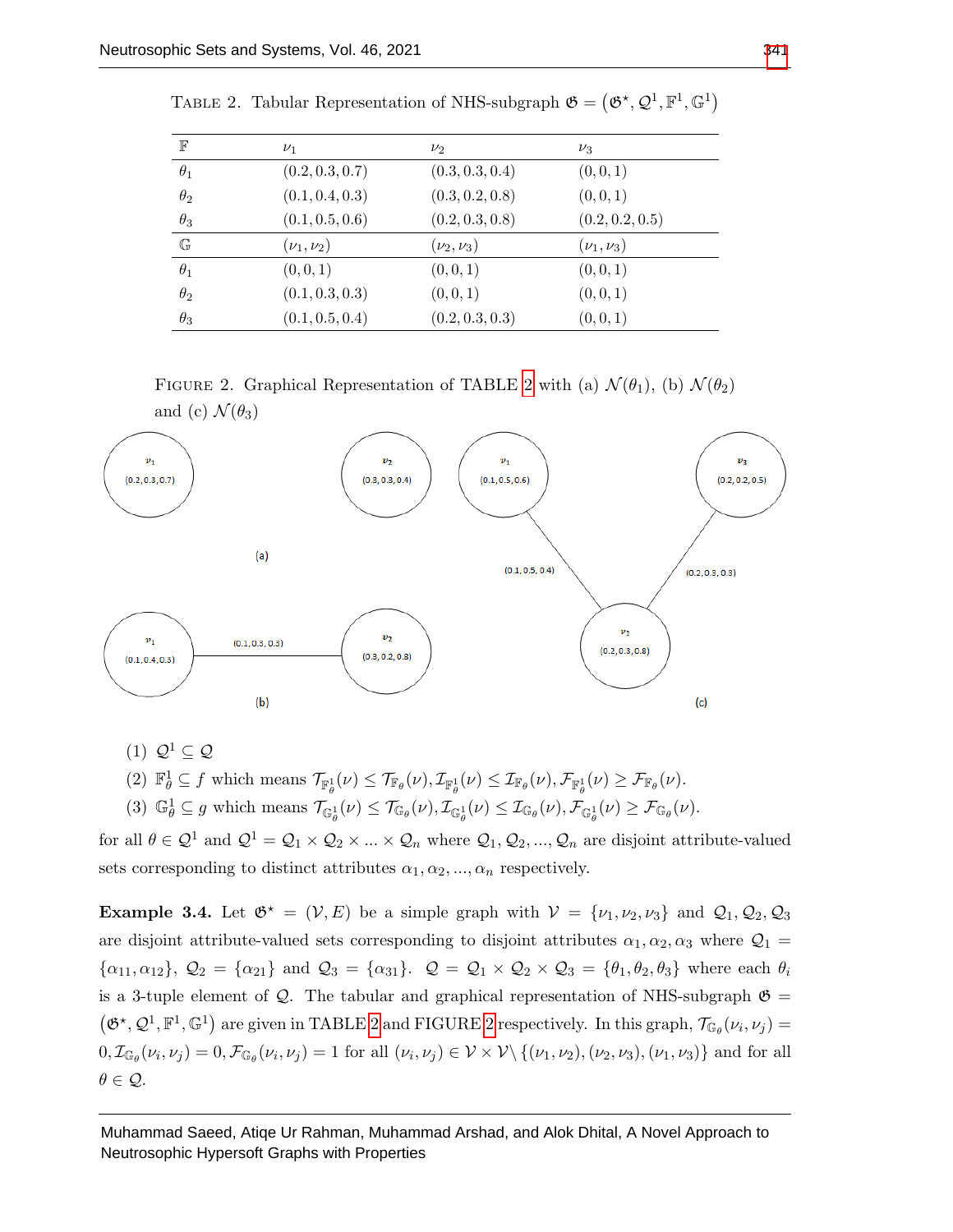| $_{\mathbb{F}}$    | $\nu_1$          | $\nu_2$          | $\nu_3$          |
|--------------------|------------------|------------------|------------------|
| $\theta_1$         | (0.2, 0.3, 0.7)  | (0.3, 0.3, 0.4)  | (0,0,1)          |
| $\theta_2$         | (0.1, 0.4, 0.3)  | (0.3, 0.2, 0.8)  | (0, 0, 1)        |
| $\theta_3$         | (0.1, 0.5, 0.6)  | (0.2, 0.3, 0.8)  | (0.2, 0.2, 0.5)  |
| $\mathbb{G}% _{n}$ | $(\nu_1, \nu_2)$ | $(\nu_2, \nu_3)$ | $(\nu_1, \nu_3)$ |
| $\theta_1$         | (0,0,1)          | (0, 0, 1)        | (0, 0, 1)        |
| $\theta_2$         | (0.1, 0.3, 0.3)  | (0, 0, 1)        | (0, 0, 1)        |
| $\theta_3$         | (0.1, 0.5, 0.4)  | (0.2, 0.3, 0.3)  | (0,0,1)          |

<span id="page-5-0"></span>

|  |  |  | TABLE 2. Tabular Representation of NHS-subgraph $\mathfrak{G} = (\mathfrak{G}^{\star}, \mathcal{Q}^1, \mathbb{F}^1, \mathbb{G}^1)$ |  |  |  |  |
|--|--|--|------------------------------------------------------------------------------------------------------------------------------------|--|--|--|--|
|--|--|--|------------------------------------------------------------------------------------------------------------------------------------|--|--|--|--|

FIGURE [2](#page-5-0). Graphical Representation of TABLE 2 with (a)  $\mathcal{N}(\theta_1)$ , (b)  $\mathcal{N}(\theta_2)$ 

<span id="page-5-1"></span>

(1)  $\mathcal{Q}^1 \subset \mathcal{Q}$ 

(2)  $\mathbb{F}_{\theta}^1 \subseteq f$  which means  $\mathcal{T}_{\mathbb{F}_{\theta}^1}(\nu) \leq \mathcal{T}_{\mathbb{F}_{\theta}}(\nu), \mathcal{I}_{\mathbb{F}_{\theta}^1}(\nu) \leq \mathcal{I}_{\mathbb{F}_{\theta}}(\nu), \mathcal{F}_{\mathbb{F}_{\theta}^1}(\nu) \geq \mathcal{F}_{\mathbb{F}_{\theta}}(\nu)$ .

(3)  $\mathbb{G}_{\theta}^1 \subseteq g$  which means  $\mathcal{T}_{\mathbb{G}_{\theta}^1}(\nu) \leq \mathcal{T}_{\mathbb{G}_{\theta}}(\nu), \mathcal{I}_{\mathbb{G}_{\theta}^1}(\nu) \leq \mathcal{I}_{\mathbb{G}_{\theta}}(\nu), \mathcal{F}_{\mathbb{G}_{\theta}^1}(\nu) \geq \mathcal{F}_{\mathbb{G}_{\theta}}(\nu)$ .

for all  $\theta \in \mathcal{Q}^1$  and  $\mathcal{Q}^1 = \mathcal{Q}_1 \times \mathcal{Q}_2 \times ... \times \mathcal{Q}_n$  where  $\mathcal{Q}_1, \mathcal{Q}_2, ..., \mathcal{Q}_n$  are disjoint attribute-valued sets corresponding to distinct attributes  $\alpha_1, \alpha_2, ..., \alpha_n$  respectively.

**Example 3.4.** Let  $\mathfrak{G}^* = (\mathcal{V}, E)$  be a simple graph with  $\mathcal{V} = {\nu_1, \nu_2, \nu_3}$  and  $\mathcal{Q}_1, \mathcal{Q}_2, \mathcal{Q}_3$ are disjoint attribute-valued sets corresponding to disjoint attributes  $\alpha_1, \alpha_2, \alpha_3$  where  $\mathcal{Q}_1$  =  $\{\alpha_{11}, \alpha_{12}\}, \mathcal{Q}_2 = \{\alpha_{21}\}\$ and  $\mathcal{Q}_3 = \{\alpha_{31}\}.$   $\mathcal{Q} = \mathcal{Q}_1 \times \mathcal{Q}_2 \times \mathcal{Q}_3 = \{\theta_1, \theta_2, \theta_3\}$  where each  $\theta_i$ is a 3-tuple element of  $Q$ . The tabular and graphical representation of NHS-subgraph  $\mathfrak{G} =$  $(\mathfrak{G}^{\star}, \mathcal{Q}^1, \mathbb{F}^1, \mathbb{G}^1)$  are given in TABLE [2](#page-5-1) and FIGURE 2 respectively. In this graph,  $\mathcal{T}_{\mathbb{G}_{\theta}}(\nu_i, \nu_j)$  =  $0, \mathcal{I}_{\mathbb{G}_{\theta}}(\nu_i, \nu_j) = 0, \mathcal{F}_{\mathbb{G}_{\theta}}(\nu_i, \nu_j) = 1$  for all  $(\nu_i, \nu_j) \in \mathcal{V} \times \mathcal{V} \setminus \{(\nu_1, \nu_2), (\nu_2, \nu_3), (\nu_1, \nu_3)\}$  and for all  $\theta \in \mathcal{Q}$ .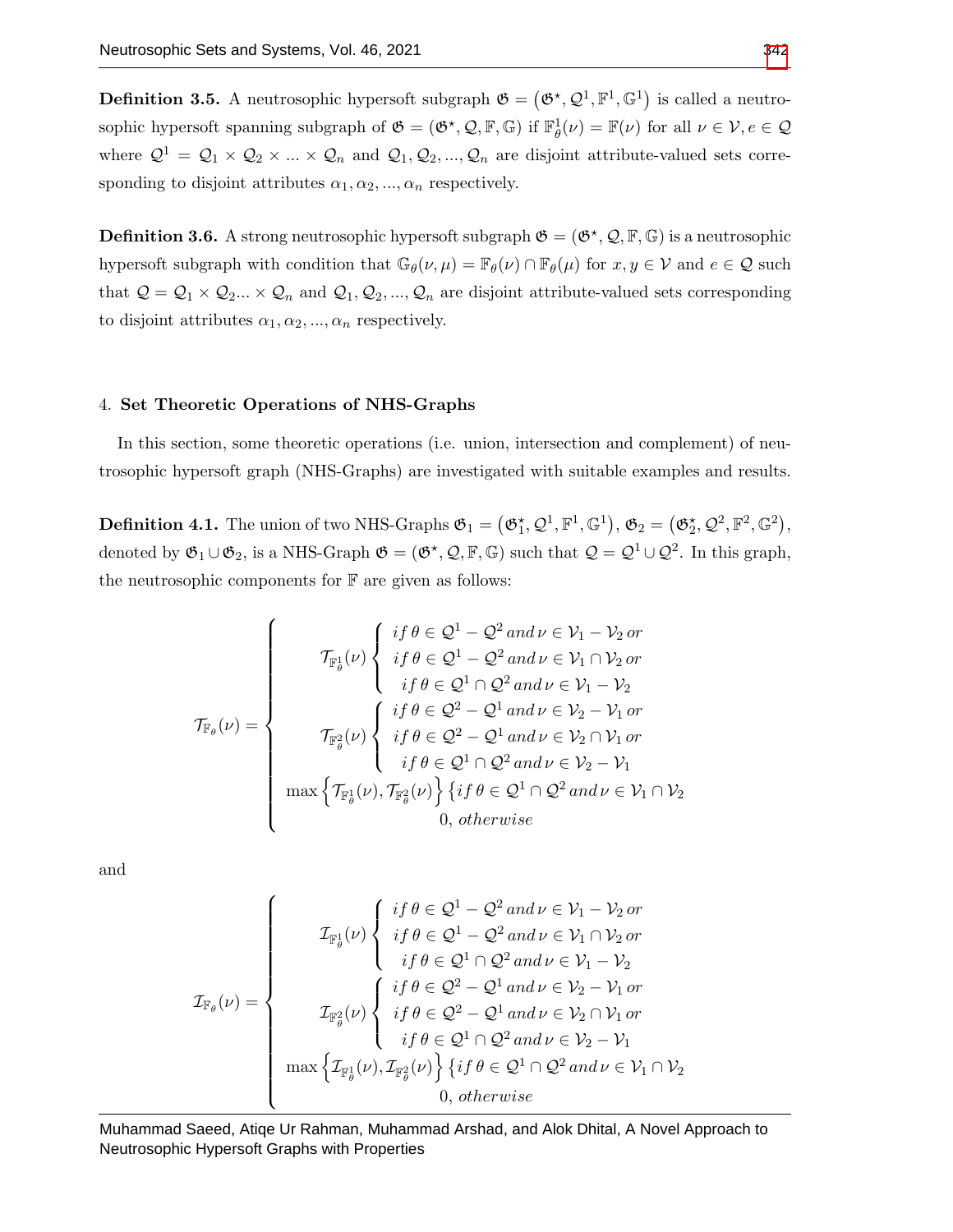**Definition 3.5.** A neutrosophic hypersoft subgraph  $\mathfrak{G} = (\mathfrak{G}^{\star}, \mathcal{Q}^{1}, \mathbb{F}^{1}, \mathbb{G}^{1})$  is called a neutrosophic hypersoft spanning subgraph of  $\mathfrak{G} = (\mathfrak{G}^*, \mathcal{Q}, \mathbb{F}, \mathbb{G})$  if  $\mathbb{F}_{\theta}^1(\nu) = \mathbb{F}(\nu)$  for all  $\nu \in \mathcal{V}, e \in \mathcal{Q}$ where  $Q^1 = Q_1 \times Q_2 \times ... \times Q_n$  and  $Q_1, Q_2, ..., Q_n$  are disjoint attribute-valued sets corresponding to disjoint attributes  $\alpha_1, \alpha_2, ..., \alpha_n$  respectively.

**Definition 3.6.** A strong neutrosophic hypersoft subgraph  $\mathfrak{G} = (\mathfrak{G}^{\star}, \mathcal{Q}, \mathbb{F}, \mathbb{G})$  is a neutrosophic hypersoft subgraph with condition that  $\mathbb{G}_{\theta}(\nu,\mu) = \mathbb{F}_{\theta}(\nu) \cap \mathbb{F}_{\theta}(\mu)$  for  $x, y \in \mathcal{V}$  and  $e \in \mathcal{Q}$  such that  $Q = Q_1 \times Q_2 ... \times Q_n$  and  $Q_1, Q_2, ..., Q_n$  are disjoint attribute-valued sets corresponding to disjoint attributes  $\alpha_1, \alpha_2, ..., \alpha_n$  respectively.

#### 4. Set Theoretic Operations of NHS-Graphs

In this section, some theoretic operations (i.e. union, intersection and complement) of neutrosophic hypersoft graph (NHS-Graphs) are investigated with suitable examples and results.

**Definition 4.1.** The union of two NHS-Graphs  $\mathfrak{G}_1 = (\mathfrak{G}_1^{\star}, \mathcal{Q}^1, \mathbb{F}^1, \mathbb{G}^1), \mathfrak{G}_2 = (\mathfrak{G}_2^{\star}, \mathcal{Q}^2, \mathbb{F}^2, \mathbb{G}^2),$ denoted by  $\mathfrak{G}_1 \cup \mathfrak{G}_2$ , is a NHS-Graph  $\mathfrak{G} = (\mathfrak{G}^*, \mathcal{Q}, \mathbb{F}, \mathbb{G})$  such that  $\mathcal{Q} = \mathcal{Q}^1 \cup \mathcal{Q}^2$ . In this graph, the neutrosophic components for  $\mathbb F$  are given as follows:

$$
\mathcal{T}_{\mathbb{F}_{\theta}}(\nu) = \begin{cases}\n\mathcal{T}_{\mathbb{F}_{\theta}^{1}}(\nu) \begin{cases}\nif \theta \in \mathcal{Q}^{1} - \mathcal{Q}^{2} \text{ and } \nu \in \mathcal{V}_{1} - \mathcal{V}_{2} \text{ or } \\
if \theta \in \mathcal{Q}^{1} - \mathcal{Q}^{2} \text{ and } \nu \in \mathcal{V}_{1} \cap \mathcal{V}_{2} \text{ or } \\
\quad if \theta \in \mathcal{Q}^{1} \cap \mathcal{Q}^{2} \text{ and } \nu \in \mathcal{V}_{1} - \mathcal{V}_{2}\n\end{cases} \\
\mathcal{T}_{\mathbb{F}_{\theta}^{2}}(\nu) \begin{cases}\nif \theta \in \mathcal{Q}^{2} - \mathcal{Q}^{1} \text{ and } \nu \in \mathcal{V}_{2} - \mathcal{V}_{1} \text{ or } \\
if \theta \in \mathcal{Q}^{2} - \mathcal{Q}^{1} \text{ and } \nu \in \mathcal{V}_{2} \cap \mathcal{V}_{1} \text{ or } \\
if \theta \in \mathcal{Q}^{1} \cap \mathcal{Q}^{2} \text{ and } \nu \in \mathcal{V}_{2} - \mathcal{V}_{1}\n\end{cases} \\
\max \left\{\mathcal{T}_{\mathbb{F}_{\theta}^{1}}(\nu), \mathcal{T}_{\mathbb{F}_{\theta}^{2}}(\nu)\right\} \left\{if \theta \in \mathcal{Q}^{1} \cap \mathcal{Q}^{2} \text{ and } \nu \in \mathcal{V}_{1} \cap \mathcal{V}_{2}\n\end{cases} \\
0, \text{ otherwise}
$$

and

$$
\mathcal{I}_{\mathbb{F}_{\theta}}(\nu) = \begin{cases}\n\text{if } \theta \in \mathcal{Q}^{1} - \mathcal{Q}^{2} \text{ and } \nu \in \mathcal{V}_{1} - \mathcal{V}_{2} \text{ or } \\
\text{if } \theta \in \mathcal{Q}^{1} - \mathcal{Q}^{2} \text{ and } \nu \in \mathcal{V}_{1} \cap \mathcal{V}_{2} \text{ or } \\
\text{if } \theta \in \mathcal{Q}^{1} \cap \mathcal{Q}^{2} \text{ and } \nu \in \mathcal{V}_{1} - \mathcal{V}_{2}\n\end{cases}
$$
\n
$$
\mathcal{I}_{\mathbb{F}_{\theta}^{2}}(\nu) = \begin{cases}\n\text{if } \theta \in \mathcal{Q}^{2} - \mathcal{Q}^{1} \text{ and } \nu \in \mathcal{V}_{2} - \mathcal{V}_{1} \text{ or } \\
\text{if } \theta \in \mathcal{Q}^{2} - \mathcal{Q}^{1} \text{ and } \nu \in \mathcal{V}_{2} \cap \mathcal{V}_{1} \text{ or } \\
\text{if } \theta \in \mathcal{Q}^{1} \cap \mathcal{Q}^{2} \text{ and } \nu \in \mathcal{V}_{2} - \mathcal{V}_{1}\n\end{cases}
$$
\n
$$
\max \left\{ \mathcal{I}_{\mathbb{F}_{\theta}^{1}}(\nu), \mathcal{I}_{\mathbb{F}_{\theta}^{2}}(\nu) \right\} \left\{ \text{if } \theta \in \mathcal{Q}^{1} \cap \mathcal{Q}^{2} \text{ and } \nu \in \mathcal{V}_{1} \cap \mathcal{V}_{2}\n\end{cases}
$$
\n0, otherwise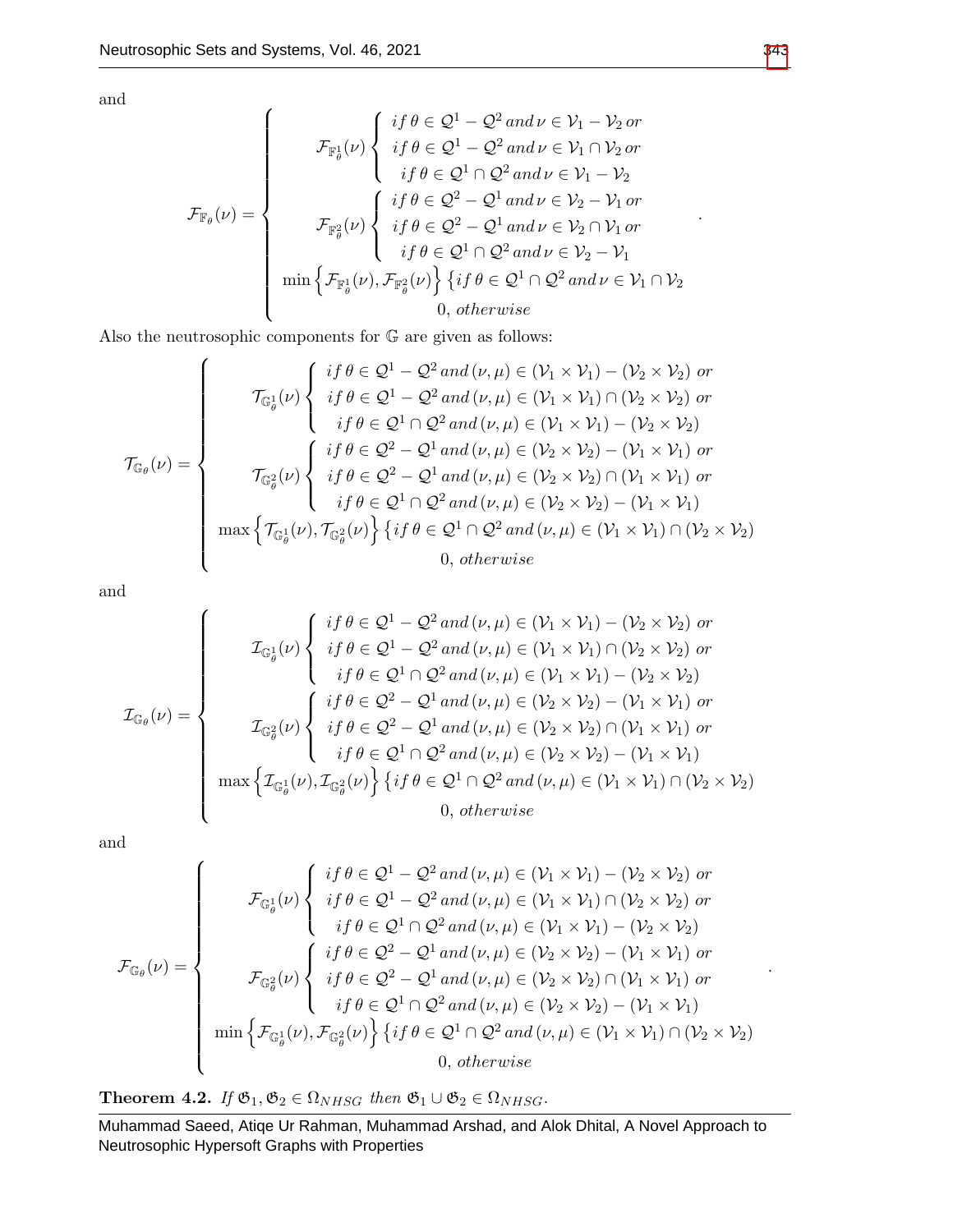$\overline{ }$ 

and

$$
\mathcal{F}_{\mathbb{F}_{\theta}}(\nu) = \begin{cases}\n\mathcal{F}_{\mathbb{F}_{\theta}^{1}}(\nu) \begin{cases}\nif \theta \in \mathcal{Q}^{1} - \mathcal{Q}^{2} \text{ and } \nu \in \mathcal{V}_{1} - \mathcal{V}_{2} \text{ or } \\
if \theta \in \mathcal{Q}^{1} - \mathcal{Q}^{2} \text{ and } \nu \in \mathcal{V}_{1} \cap \mathcal{V}_{2} \text{ or } \\
if \theta \in \mathcal{Q}^{1} \cap \mathcal{Q}^{2} \text{ and } \nu \in \mathcal{V}_{1} - \mathcal{V}_{2}\n\end{cases} \\
\mathcal{F}_{\mathbb{F}_{\theta}^{2}}(\nu) \begin{cases}\nif \theta \in \mathcal{Q}^{2} - \mathcal{Q}^{1} \text{ and } \nu \in \mathcal{V}_{2} - \mathcal{V}_{1} \text{ or } \\
if \theta \in \mathcal{Q}^{2} - \mathcal{Q}^{1} \text{ and } \nu \in \mathcal{V}_{2} \cap \mathcal{V}_{1} \text{ or } \\
if \theta \in \mathcal{Q}^{1} \cap \mathcal{Q}^{2} \text{ and } \nu \in \mathcal{V}_{2} - \mathcal{V}_{1}\n\end{cases} \\
\min \left\{ \mathcal{F}_{\mathbb{F}_{\theta}^{1}}(\nu), \mathcal{F}_{\mathbb{F}_{\theta}^{2}}(\nu) \right\} \left\{ \text{if } \theta \in \mathcal{Q}^{1} \cap \mathcal{Q}^{2} \text{ and } \nu \in \mathcal{V}_{1} \cap \mathcal{V}_{2}\n\end{cases} \\
0, \text{ otherwise} \n\end{cases}
$$

Also the neutrosophic components for  $\mathbb G$  are given as follows:

$$
\mathcal{T}_{\mathbb{G}_{\theta}}(\nu) = \begin{cases}\n\mathcal{T}_{\mathbb{G}_{\theta}^{1}}(\nu) \left\{\n\begin{array}{l}\nif \theta \in \mathcal{Q}^{1} - \mathcal{Q}^{2} \text{ and } (\nu, \mu) \in (\mathcal{V}_{1} \times \mathcal{V}_{1}) - (\mathcal{V}_{2} \times \mathcal{V}_{2}) \text{ or} \\
if \theta \in \mathcal{Q}^{1} - \mathcal{Q}^{2} \text{ and } (\nu, \mu) \in (\mathcal{V}_{1} \times \mathcal{V}_{1}) \cap (\mathcal{V}_{2} \times \mathcal{V}_{2}) \text{ or} \\
\quad if \theta \in \mathcal{Q}^{1} \cap \mathcal{Q}^{2} \text{ and } (\nu, \mu) \in (\mathcal{V}_{1} \times \mathcal{V}_{1}) - (\mathcal{V}_{2} \times \mathcal{V}_{2})\n\end{array}\n\end{cases}\n\mathcal{T}_{\mathbb{G}_{\theta}^{2}}(\nu) \left\{\n\begin{array}{l}\nif \theta \in \mathcal{Q}^{2} - \mathcal{Q}^{1} \text{ and } (\nu, \mu) \in (\mathcal{V}_{2} \times \mathcal{V}_{2}) - (\mathcal{V}_{1} \times \mathcal{V}_{1}) \text{ or} \\
if \theta \in \mathcal{Q}^{2} - \mathcal{Q}^{1} \text{ and } (\nu, \mu) \in (\mathcal{V}_{2} \times \mathcal{V}_{2}) \cap (\mathcal{V}_{1} \times \mathcal{V}_{1}) \text{ or} \\
\quad if \theta \in \mathcal{Q}^{1} \cap \mathcal{Q}^{2} \text{ and } (\nu, \mu) \in (\mathcal{V}_{2} \times \mathcal{V}_{2}) - (\mathcal{V}_{1} \times \mathcal{V}_{1})\n\end{array}\n\right\} \\
\max \left\{\n\mathcal{T}_{\mathbb{G}_{\theta}^{1}}(\nu), \mathcal{T}_{\mathbb{G}_{\theta}^{2}}(\nu)\n\right\}\n\left\{\n\begin{array}{l}\nif \theta \in \mathcal{Q}^{1} \cap \mathcal{Q}^{2} \text{ and } (\nu, \mu) \in (\mathcal{V}_{2} \times \mathcal{V}_{2}) - (\mathcal{V}_{1} \times \mathcal{V}_{1}) \text{ or} \\
0, \text{ otherwise}\n\end{array}\n\right.\n\end
$$

and

$$
\mathcal{I}_{\mathbb{G}_{\theta}}(\nu) = \begin{cases}\n\mathcal{I}_{\mathbb{G}_{\theta}^{1}}(\nu) \left\{\n\begin{array}{l}\nif \theta \in \mathcal{Q}^{1} - \mathcal{Q}^{2} \text{ and } (\nu, \mu) \in (\mathcal{V}_{1} \times \mathcal{V}_{1}) - (\mathcal{V}_{2} \times \mathcal{V}_{2}) \text{ or} \\
if \theta \in \mathcal{Q}^{1} - \mathcal{Q}^{2} \text{ and } (\nu, \mu) \in (\mathcal{V}_{1} \times \mathcal{V}_{1}) \cap (\mathcal{V}_{2} \times \mathcal{V}_{2}) \text{ or} \\
\quad if \theta \in \mathcal{Q}^{1} \cap \mathcal{Q}^{2} \text{ and } (\nu, \mu) \in (\mathcal{V}_{1} \times \mathcal{V}_{1}) - (\mathcal{V}_{2} \times \mathcal{V}_{2})\n\end{array}\n\end{cases}\n\mathcal{I}_{\mathbb{G}_{\theta}^{2}}(\nu) \left\{\n\begin{array}{l}\nif \theta \in \mathcal{Q}^{2} - \mathcal{Q}^{1} \text{ and } (\nu, \mu) \in (\mathcal{V}_{2} \times \mathcal{V}_{2}) - (\mathcal{V}_{1} \times \mathcal{V}_{1}) \text{ or} \\
if \theta \in \mathcal{Q}^{2} - \mathcal{Q}^{1} \text{ and } (\nu, \mu) \in (\mathcal{V}_{2} \times \mathcal{V}_{2}) \cap (\mathcal{V}_{1} \times \mathcal{V}_{1}) \text{ or} \\
\quad if \theta \in \mathcal{Q}^{1} \cap \mathcal{Q}^{2} \text{ and } (\nu, \mu) \in (\mathcal{V}_{2} \times \mathcal{V}_{2}) - (\mathcal{V}_{1} \times \mathcal{V}_{1})\n\end{array}\n\right\} \\
\max \left\{\n\mathcal{I}_{\mathbb{G}_{\theta}^{1}}(\nu), \mathcal{I}_{\mathbb{G}_{\theta}^{2}}(\nu)\n\right\}\n\left\{\n\begin{array}{l}\nif \theta \in \mathcal{Q}^{1} \cap \mathcal{Q}^{2} \text{ and } (\nu, \mu) \in (\mathcal{V}_{2} \times \mathcal{V}_{2}) - (\mathcal{V}_{1} \times \mathcal{V}_{1}) \text{ or} \\
0, \text{ otherwise}\n\end{array}\n\
$$

and

$$
\mathcal{F}_{\mathbb{G}_{\theta}}(\nu) = \begin{cases}\n\mathcal{F}_{\mathbb{G}_{\theta}^{1}}(\nu) \begin{cases}\nif \theta \in \mathcal{Q}^{1} - \mathcal{Q}^{2} \text{ and } (\nu, \mu) \in (\mathcal{V}_{1} \times \mathcal{V}_{1}) - (\mathcal{V}_{2} \times \mathcal{V}_{2}) \text{ or} \\
if \theta \in \mathcal{Q}^{1} - \mathcal{Q}^{2} \text{ and } (\nu, \mu) \in (\mathcal{V}_{1} \times \mathcal{V}_{1}) \cap (\mathcal{V}_{2} \times \mathcal{V}_{2}) \text{ or} \\
if \theta \in \mathcal{Q}^{1} \cap \mathcal{Q}^{2} \text{ and } (\nu, \mu) \in (\mathcal{V}_{1} \times \mathcal{V}_{1}) - (\mathcal{V}_{2} \times \mathcal{V}_{2})\n\end{cases} \\
\mathcal{F}_{\mathbb{G}_{\theta}^{2}}(\nu) \begin{cases}\nif \theta \in \mathcal{Q}^{2} - \mathcal{Q}^{1} \text{ and } (\nu, \mu) \in (\mathcal{V}_{2} \times \mathcal{V}_{2}) - (\mathcal{V}_{1} \times \mathcal{V}_{1}) \text{ or} \\
if \theta \in \mathcal{Q}^{2} - \mathcal{Q}^{1} \text{ and } (\nu, \mu) \in (\mathcal{V}_{2} \times \mathcal{V}_{2}) \cap (\mathcal{V}_{1} \times \mathcal{V}_{1}) \text{ or} \\
if \theta \in \mathcal{Q}^{1} \cap \mathcal{Q}^{2} \text{ and } (\nu, \mu) \in (\mathcal{V}_{2} \times \mathcal{V}_{2}) - (\mathcal{V}_{1} \times \mathcal{V}_{1})\n\end{cases} \\
\min \left\{ \mathcal{F}_{\mathbb{G}_{\theta}^{1}}(\nu), \mathcal{F}_{\mathbb{G}_{\theta}^{2}}(\nu) \right\} \left\{ if \theta \in \mathcal{Q}^{1} \cap \mathcal{Q}^{2} \text{ and } (\nu, \mu) \in (\mathcal{V}_{1} \times \mathcal{V}_{1}) \cap (\mathcal{V}_{2} \times \mathcal{V}_{2})\n\end{cases} \\
\text{0, otherwise}\n\tag{0, otherwise}
$$

**Theorem 4.2.** If  $\mathfrak{G}_1, \mathfrak{G}_2 \in \Omega_{NHSG}$  then  $\mathfrak{G}_1 \cup \mathfrak{G}_2 \in \Omega_{NHSG}$ .

Muhammad Saeed, Atiqe Ur Rahman, Muhammad Arshad, and Alok Dhital, A Novel Approach to Neutrosophic Hypersoft Graphs with Properties

.

.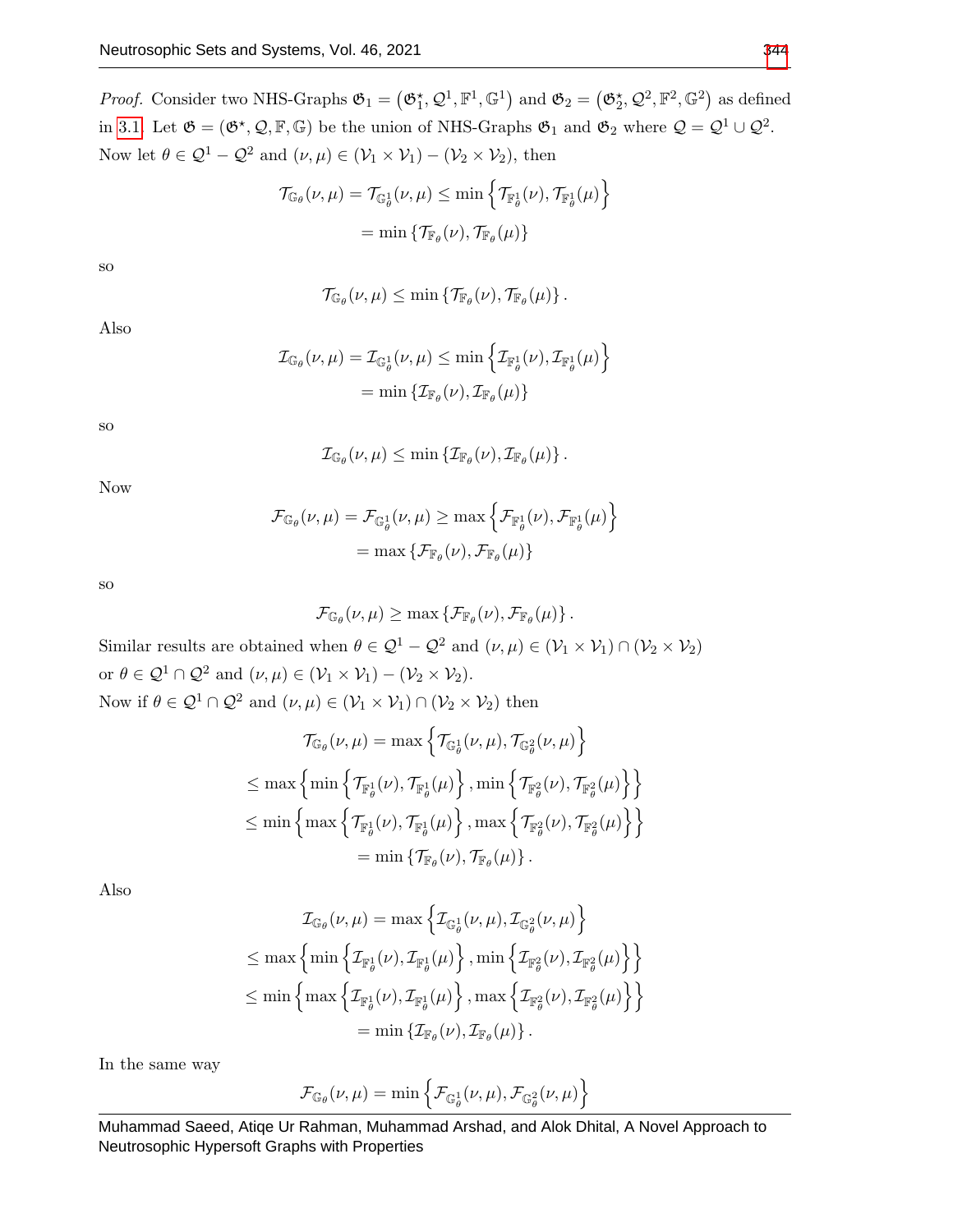*Proof.* Consider two NHS-Graphs  $\mathfrak{G}_1 = (\mathfrak{G}_1^{\star}, \mathcal{Q}^1, \mathbb{F}^1, \mathbb{G}^1)$  and  $\mathfrak{G}_2 = (\mathfrak{G}_2^{\star}, \mathcal{Q}^2, \mathbb{F}^2, \mathbb{G}^2)$  as defined in [3.1.](#page-3-0) Let  $\mathfrak{G} = (\mathfrak{G}^*, \mathcal{Q}, \mathbb{F}, \mathbb{G})$  be the union of NHS-Graphs  $\mathfrak{G}_1$  and  $\mathfrak{G}_2$  where  $\mathcal{Q} = \mathcal{Q}^1 \cup \mathcal{Q}^2$ . Now let  $\theta \in \mathcal{Q}^1 - \mathcal{Q}^2$  and  $(\nu, \mu) \in (\mathcal{V}_1 \times \mathcal{V}_1) - (\mathcal{V}_2 \times \mathcal{V}_2)$ , then

$$
\mathcal{T}_{\mathbb{G}_{\theta}}(\nu,\mu) = \mathcal{T}_{\mathbb{G}_{\theta}^{1}}(\nu,\mu) \le \min \left\{ \mathcal{T}_{\mathbb{F}_{\theta}^{1}}(\nu), \mathcal{T}_{\mathbb{F}_{\theta}^{1}}(\mu) \right\}
$$

$$
= \min \left\{ \mathcal{T}_{\mathbb{F}_{\theta}}(\nu), \mathcal{T}_{\mathbb{F}_{\theta}}(\mu) \right\}
$$

so

$$
\mathcal{T}_{\mathbb{G}_{\theta}}(\nu,\mu) \leq \min \left\{ \mathcal{T}_{\mathbb{F}_{\theta}}(\nu), \mathcal{T}_{\mathbb{F}_{\theta}}(\mu) \right\}.
$$

Also

 $\mathcal{I}_{\mathbb{G}_{\theta}}(\nu,\mu)=\mathcal{I}_{\mathbb{G}_{\theta}^{1}}(\nu,\mu)\leq\min\left\{ \mathcal{I}_{\mathbb{F}_{\theta}^{1}}(\nu),\mathcal{I}_{\mathbb{F}_{\theta}^{1}}(\mu)\right\}$  $=\min\left\{\mathcal{I}_{\mathbb{F}_{\theta}}(\nu),\mathcal{I}_{\mathbb{F}_{\theta}}(\mu)\right\}$ 

so

$$
\mathcal{I}_{\mathbb{G}_{\theta}}(\nu,\mu) \leq \min \left\{ \mathcal{I}_{\mathbb{F}_{\theta}}(\nu), \mathcal{I}_{\mathbb{F}_{\theta}}(\mu) \right\}.
$$

 $\mathcal{F}_{\mathbb{G}_{\theta}}(\nu,\mu)=\mathcal{F}_{\mathbb{G}_{\theta}^{1}}(\nu,\mu)\geq\max\left\{ \mathcal{F}_{\mathbb{F}_{\theta}^{1}}(\nu),\mathcal{F}_{\mathbb{F}_{\theta}^{1}}(\mu)\right\}$ 

 $= \max \left\{ \mathcal{F}_{\mathbb{F}_{\theta}}(\nu), \mathcal{F}_{\mathbb{F}_{\theta}}(\mu) \right\}$ 

Now

so

$$
\mathcal{F}_{\mathbb{G}_{\theta}}(\nu,\mu) \geq \max \left\{ \mathcal{F}_{\mathbb{F}_{\theta}}(\nu), \mathcal{F}_{\mathbb{F}_{\theta}}(\mu) \right\}.
$$

Similar results are obtained when  $\theta \in \mathcal{Q}^1 - \mathcal{Q}^2$  and  $(\nu, \mu) \in (\mathcal{V}_1 \times \mathcal{V}_1) \cap (\mathcal{V}_2 \times \mathcal{V}_2)$ or  $\theta \in \mathcal{Q}^1 \cap \mathcal{Q}^2$  and  $(\nu, \mu) \in (\mathcal{V}_1 \times \mathcal{V}_1) - (\mathcal{V}_2 \times \mathcal{V}_2)$ . Now if  $\theta \in \mathcal{Q}^1 \cap \mathcal{Q}^2$  and  $(\nu, \mu) \in (\mathcal{V}_1 \times \mathcal{V}_1) \cap (\mathcal{V}_2 \times \mathcal{V}_2)$  then

$$
\mathcal{T}_{\mathbb{G}_{\theta}}(\nu,\mu) = \max \left\{ \mathcal{T}_{\mathbb{G}_{\theta}^{1}}(\nu,\mu), \mathcal{T}_{\mathbb{G}_{\theta}^{2}}(\nu,\mu) \right\}
$$
  
\n
$$
\leq \max \left\{ \min \left\{ \mathcal{T}_{\mathbb{F}_{\theta}^{1}}(\nu), \mathcal{T}_{\mathbb{F}_{\theta}^{1}}(\mu) \right\}, \min \left\{ \mathcal{T}_{\mathbb{F}_{\theta}^{2}}(\nu), \mathcal{T}_{\mathbb{F}_{\theta}^{2}}(\mu) \right\} \right\}
$$
  
\n
$$
\leq \min \left\{ \max \left\{ \mathcal{T}_{\mathbb{F}_{\theta}^{1}}(\nu), \mathcal{T}_{\mathbb{F}_{\theta}^{1}}(\mu) \right\}, \max \left\{ \mathcal{T}_{\mathbb{F}_{\theta}^{2}}(\nu), \mathcal{T}_{\mathbb{F}_{\theta}^{2}}(\mu) \right\} \right\}
$$
  
\n
$$
= \min \left\{ \mathcal{T}_{\mathbb{F}_{\theta}}(\nu), \mathcal{T}_{\mathbb{F}_{\theta}}(\mu) \right\}.
$$

Also

$$
\mathcal{I}_{\mathbb{G}_{\theta}}(\nu,\mu) = \max \left\{ \mathcal{I}_{\mathbb{G}_{\theta}^{1}}(\nu,\mu), \mathcal{I}_{\mathbb{G}_{\theta}^{2}}(\nu,\mu) \right\}
$$
  
\n
$$
\leq \max \left\{ \min \left\{ \mathcal{I}_{\mathbb{F}_{\theta}^{1}}(\nu), \mathcal{I}_{\mathbb{F}_{\theta}^{1}}(\mu) \right\}, \min \left\{ \mathcal{I}_{\mathbb{F}_{\theta}^{2}}(\nu), \mathcal{I}_{\mathbb{F}_{\theta}^{2}}(\mu) \right\} \right\}
$$
  
\n
$$
\leq \min \left\{ \max \left\{ \mathcal{I}_{\mathbb{F}_{\theta}^{1}}(\nu), \mathcal{I}_{\mathbb{F}_{\theta}^{1}}(\mu) \right\}, \max \left\{ \mathcal{I}_{\mathbb{F}_{\theta}^{2}}(\nu), \mathcal{I}_{\mathbb{F}_{\theta}^{2}}(\mu) \right\} \right\}
$$
  
\n
$$
= \min \left\{ \mathcal{I}_{\mathbb{F}_{\theta}}(\nu), \mathcal{I}_{\mathbb{F}_{\theta}}(\mu) \right\}.
$$

In the same way

$$
\mathcal{F}_{\mathbb{G}_{\theta}}(\nu,\mu) = \min \left\{ \mathcal{F}_{\mathbb{G}_{\theta}^{1}}(\nu,\mu), \mathcal{F}_{\mathbb{G}_{\theta}^{2}}(\nu,\mu) \right\}
$$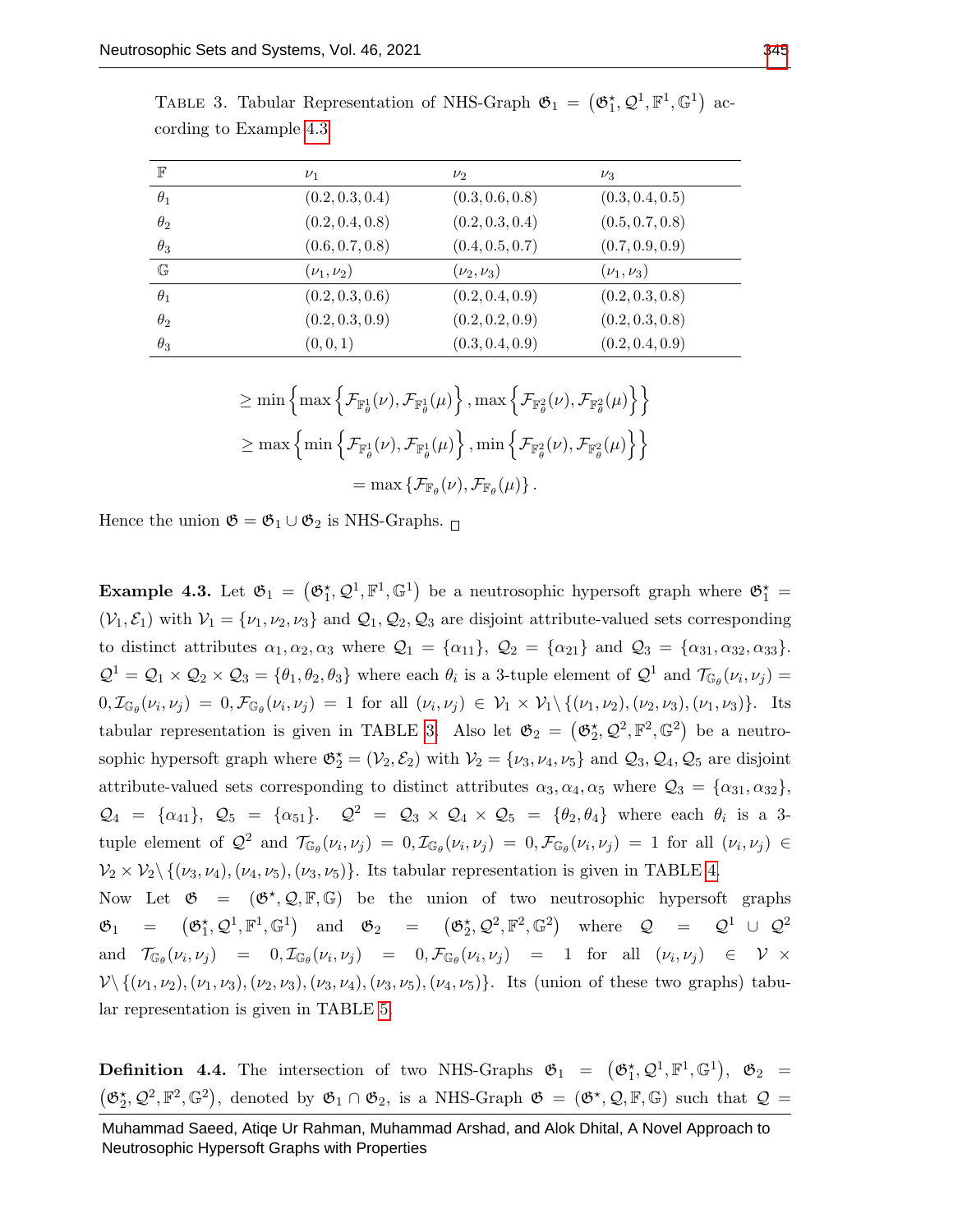| $_{\mathbb{F}}$ | $\nu_1$              | $\nu_2$          | $\nu_3$              |
|-----------------|----------------------|------------------|----------------------|
| $\theta_1$      | (0.2, 0.3, 0.4)      | (0.3, 0.6, 0.8)  | (0.3, 0.4, 0.5)      |
| $\theta_2$      | (0.2, 0.4, 0.8)      | (0.2, 0.3, 0.4)  | (0.5, 0.7, 0.8)      |
| $\theta_3$      | (0.6, 0.7, 0.8)      | (0.4, 0.5, 0.7)  | (0.7, 0.9, 0.9)      |
| $\mathbb{G}$    | $(\nu_{1}, \nu_{2})$ | $(\nu_2, \nu_3)$ | $(\nu_{1}, \nu_{3})$ |
| $\theta_1$      | (0.2, 0.3, 0.6)      | (0.2, 0.4, 0.9)  | (0.2, 0.3, 0.8)      |
| $\theta_2$      | (0.2, 0.3, 0.9)      | (0.2, 0.2, 0.9)  | (0.2, 0.3, 0.8)      |
| $\theta_3$      | (0, 0, 1)            | (0.3, 0.4, 0.9)  | (0.2, 0.4, 0.9)      |

<span id="page-9-1"></span>TABLE 3. Tabular Representation of NHS-Graph  $\mathfrak{G}_1 = (\mathfrak{G}_1^{\star}, \mathcal{Q}^1, \mathbb{F}^1, \mathbb{G}^1)$  according to Example [4.3](#page-9-0)

$$
\begin{aligned} &\geq \min\left\{\max\left\{\mathcal{F}_{\mathbb{F}^1_\theta}(\nu),\mathcal{F}_{\mathbb{F}^1_\theta}(\mu)\right\},\max\left\{\mathcal{F}_{\mathbb{F}^2_\theta}(\nu),\mathcal{F}_{\mathbb{F}^2_\theta}(\mu)\right\}\right\} \\ &\geq \max\left\{\min\left\{\mathcal{F}_{\mathbb{F}^1_\theta}(\nu),\mathcal{F}_{\mathbb{F}^1_\theta}(\mu)\right\},\min\left\{\mathcal{F}_{\mathbb{F}^2_\theta}(\nu),\mathcal{F}_{\mathbb{F}^2_\theta}(\mu)\right\}\right\} \\ &=\max\left\{\mathcal{F}_{\mathbb{F}_\theta}(\nu),\mathcal{F}_{\mathbb{F}_\theta}(\mu)\right\}. \end{aligned}
$$

Hence the union  $\mathfrak{G} = \mathfrak{G}_1 \cup \mathfrak{G}_2$  is NHS-Graphs.  $\Box$ 

<span id="page-9-0"></span>**Example 4.3.** Let  $\mathfrak{G}_1 = (\mathfrak{G}_1^*, \mathcal{Q}^1, \mathbb{F}^1, \mathbb{G}^1)$  be a neutrosophic hypersoft graph where  $\mathfrak{G}_1^* =$  $(V_1, \mathcal{E}_1)$  with  $V_1 = \{v_1, v_2, v_3\}$  and  $\mathcal{Q}_1, \mathcal{Q}_2, \mathcal{Q}_3$  are disjoint attribute-valued sets corresponding to distinct attributes  $\alpha_1, \alpha_2, \alpha_3$  where  $\mathcal{Q}_1 = {\alpha_{11}}, \mathcal{Q}_2 = {\alpha_{21}}$  and  $\mathcal{Q}_3 = {\alpha_{31}, \alpha_{32}, \alpha_{33}}$ .  $\mathcal{Q}^1 = \mathcal{Q}_1 \times \mathcal{Q}_2 \times \mathcal{Q}_3 = \{\theta_1, \theta_2, \theta_3\}$  where each  $\theta_i$  is a 3-tuple element of  $\mathcal{Q}^1$  and  $\mathcal{T}_{\mathbb{G}_{\theta}}(\nu_i, \nu_j) =$  $0, \mathcal{I}_{\mathbb{G}_{\theta}}(\nu_i, \nu_j) = 0, \mathcal{F}_{\mathbb{G}_{\theta}}(\nu_i, \nu_j) = 1$  for all  $(\nu_i, \nu_j) \in \mathcal{V}_1 \times \mathcal{V}_1 \setminus \{(\nu_1, \nu_2), (\nu_2, \nu_3), (\nu_1, \nu_3)\}.$  Its tabular representation is given in TABLE [3.](#page-9-1) Also let  $\mathfrak{G}_2 = (\mathfrak{G}_2^{\star}, \mathcal{Q}^2, \mathbb{F}^2, \mathbb{G}^2)$  be a neutrosophic hypersoft graph where  $\mathfrak{G}_2^* = (\mathcal{V}_2, \mathcal{E}_2)$  with  $\mathcal{V}_2 = \{\nu_3, \nu_4, \nu_5\}$  and  $\mathcal{Q}_3, \mathcal{Q}_4, \mathcal{Q}_5$  are disjoint attribute-valued sets corresponding to distinct attributes  $\alpha_3, \alpha_4, \alpha_5$  where  $\mathcal{Q}_3 = {\alpha_{31}, \alpha_{32}},$  $\mathcal{Q}_4 = {\alpha_{41}}, \ \mathcal{Q}_5 = {\alpha_{51}}. \quad \mathcal{Q}^2 = \mathcal{Q}_3 \times \mathcal{Q}_4 \times \mathcal{Q}_5 = {\theta_2, \theta_4}$  where each  $\theta_i$  is a 3tuple element of  $\mathcal{Q}^2$  and  $\mathcal{T}_{\mathbb{G}_{\theta}}(\nu_i,\nu_j) = 0$ ,  $\mathcal{I}_{\mathbb{G}_{\theta}}(\nu_i,\nu_j) = 0$ ,  $\mathcal{F}_{\mathbb{G}_{\theta}}(\nu_i,\nu_j) = 1$  for all  $(\nu_i,\nu_j) \in$  $\mathcal{V}_2 \times \mathcal{V}_2 \setminus \{(\nu_3, \nu_4),(\nu_4, \nu_5),(\nu_3, \nu_5)\}\.$  Its tabular representation is given in TABLE [4.](#page-10-0) Now Let  $\mathfrak{G} = (\mathfrak{G}^{\star}, \mathcal{Q}, \mathbb{F}, \mathbb{G})$  be the union of two neutrosophic hypersoft graphs  $\mathfrak{G}_1 = (\mathfrak{G}_1^{\star}, \mathcal{Q}^1, \mathbb{F}^1, \mathbb{G}^1)$  and  $\mathfrak{G}_2 = (\mathfrak{G}_2^{\star}, \mathcal{Q}^2, \mathbb{F}^2, \mathbb{G}^2)$  where  $\mathcal{Q} = \mathcal{Q}^1 \cup \mathcal{Q}^2$ 

and  $\mathcal{T}_{\mathbb{G}_{\theta}}(\nu_i, \nu_j) = 0, \mathcal{I}_{\mathbb{G}_{\theta}}(\nu_i, \nu_j) = 0, \mathcal{F}_{\mathbb{G}_{\theta}}(\nu_i, \nu_j) = 1$  for all  $(\nu_i, \nu_j) \in \mathcal{V} \times$  $\mathcal{V}\setminus\{(\nu_1,\nu_2),(\nu_1,\nu_3),(\nu_2,\nu_3),(\nu_3,\nu_4),(\nu_3,\nu_5),(\nu_4,\nu_5)\}.$  Its (union of these two graphs) tabular representation is given in TABLE [5.](#page-10-1)

**Definition 4.4.** The intersection of two NHS-Graphs  $\mathfrak{G}_1 = (\mathfrak{G}_1^{\star}, \mathcal{Q}^1, \mathbb{F}^1, \mathbb{G}^1)$ ,  $\mathfrak{G}_2 =$  $(\mathfrak{G}_2^{\star}, \mathcal{Q}^2, \mathbb{F}^2, \mathbb{G}^2)$ , denoted by  $\mathfrak{G}_1 \cap \mathfrak{G}_2$ , is a NHS-Graph  $\mathfrak{G} = (\mathfrak{G}^{\star}, \mathcal{Q}, \mathbb{F}, \mathbb{G})$  such that  $\mathcal{Q} =$ 

Muhammad Saeed, Atiqe Ur Rahman, Muhammad Arshad, and Alok Dhital, A Novel Approach to Neutrosophic Hypersoft Graphs with Properties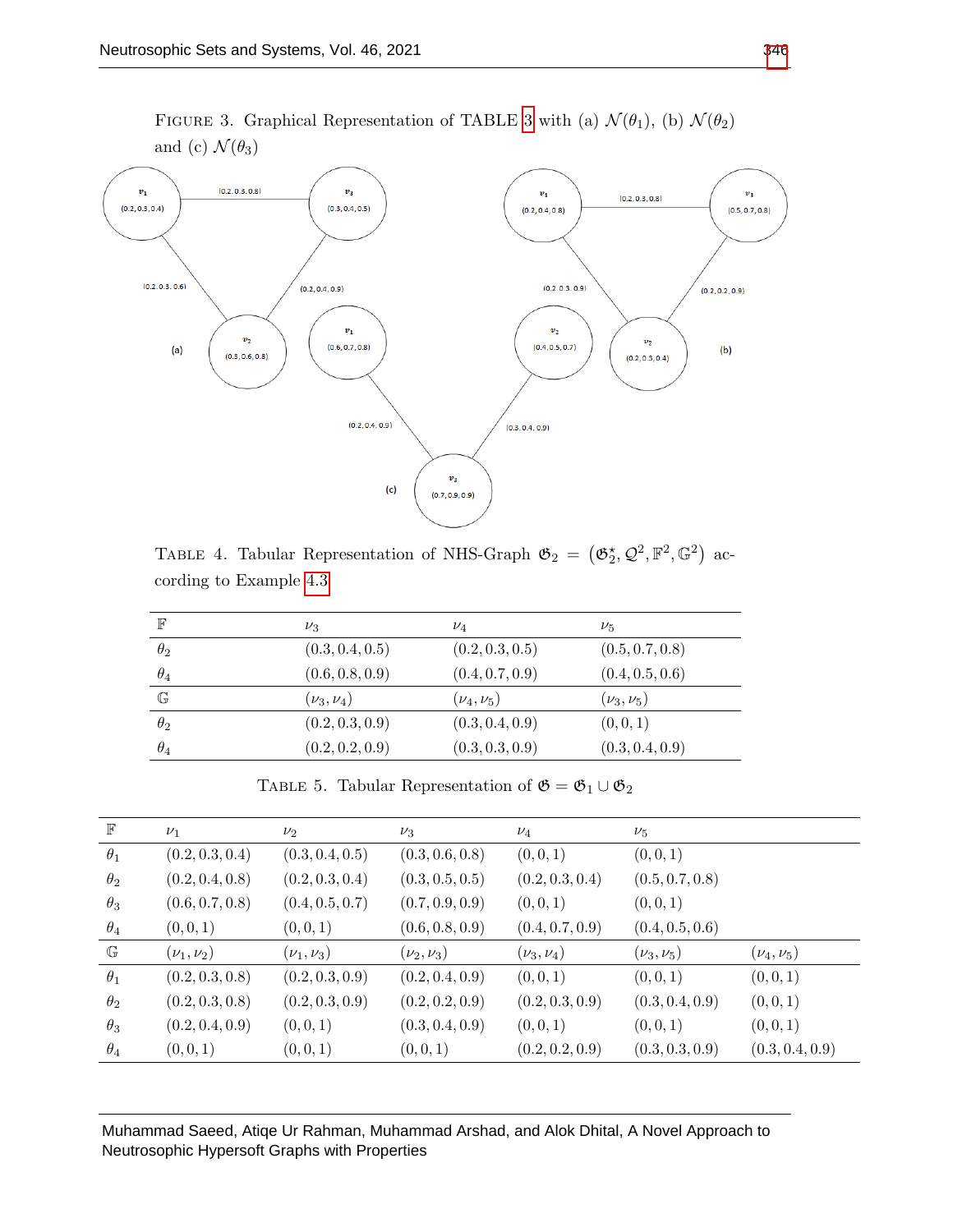

<span id="page-10-0"></span>TABLE 4. Tabular Representation of NHS-Graph  $\mathfrak{G}_2 = (\mathfrak{G}_2^{\star}, \mathcal{Q}^2, \mathbb{F}^2, \mathbb{G}^2)$  according to Example [4.3](#page-9-0)

| $\mathbb F$  | $\nu_3$          | $\nu_4$          | $\nu_{5}$       |
|--------------|------------------|------------------|-----------------|
| $\theta_2$   | (0.3, 0.4, 0.5)  | (0.2, 0.3, 0.5)  | (0.5, 0.7, 0.8) |
| $\theta_4$   | (0.6, 0.8, 0.9)  | (0.4, 0.7, 0.9)  | (0.4, 0.5, 0.6) |
| $\mathbb{G}$ | $(\nu_3, \nu_4)$ | $(\nu_4, \nu_5)$ | $(\nu_3,\nu_5)$ |
| $\theta_2$   | (0.2, 0.3, 0.9)  | (0.3, 0.4, 0.9)  | (0, 0, 1)       |
| $\theta_4$   | (0.2, 0.2, 0.9)  | (0.3, 0.3, 0.9)  | (0.3, 0.4, 0.9) |

TABLE 5. Tabular Representation of  $\mathfrak{G}=\mathfrak{G}_1\cup\mathfrak{G}_2$ 

<span id="page-10-1"></span>

| $\mathbb F$  | $\nu_1$          | $\nu_2$          | $\nu_3$          | $\nu_4$          | $\nu_5$          |                  |
|--------------|------------------|------------------|------------------|------------------|------------------|------------------|
| $\theta_1$   | (0.2, 0.3, 0.4)  | (0.3, 0.4, 0.5)  | (0.3, 0.6, 0.8)  | (0,0,1)          | (0,0,1)          |                  |
| $\theta_2$   | (0.2, 0.4, 0.8)  | (0.2, 0.3, 0.4)  | (0.3, 0.5, 0.5)  | (0.2, 0.3, 0.4)  | (0.5, 0.7, 0.8)  |                  |
| $\theta_3$   | (0.6, 0.7, 0.8)  | (0.4, 0.5, 0.7)  | (0.7, 0.9, 0.9)  | (0, 0, 1)        | (0,0,1)          |                  |
| $\theta_4$   | (0,0,1)          | (0,0,1)          | (0.6, 0.8, 0.9)  | (0.4, 0.7, 0.9)  | (0.4, 0.5, 0.6)  |                  |
| $\mathbb{G}$ | $(\nu_1, \nu_2)$ | $(\nu_1, \nu_3)$ | $(\nu_2, \nu_3)$ | $(\nu_3, \nu_4)$ | $(\nu_3, \nu_5)$ | $(\nu_4, \nu_5)$ |
| $\theta_1$   | (0.2, 0.3, 0.8)  | (0.2, 0.3, 0.9)  | (0.2, 0.4, 0.9)  | (0,0,1)          | (0, 0, 1)        | (0,0,1)          |
| $\theta_2$   | (0.2, 0.3, 0.8)  | (0.2, 0.3, 0.9)  | (0.2, 0.2, 0.9)  | (0.2, 0.3, 0.9)  | (0.3, 0.4, 0.9)  | (0,0,1)          |
| $\theta_3$   | (0.2, 0.4, 0.9)  | (0,0,1)          | (0.3, 0.4, 0.9)  | (0,0,1)          | (0,0,1)          | (0,0,1)          |
| $\theta_4$   | (0,0,1)          | (0,0,1)          | (0,0,1)          | (0.2, 0.2, 0.9)  | (0.3, 0.3, 0.9)  | (0.3, 0.4, 0.9)  |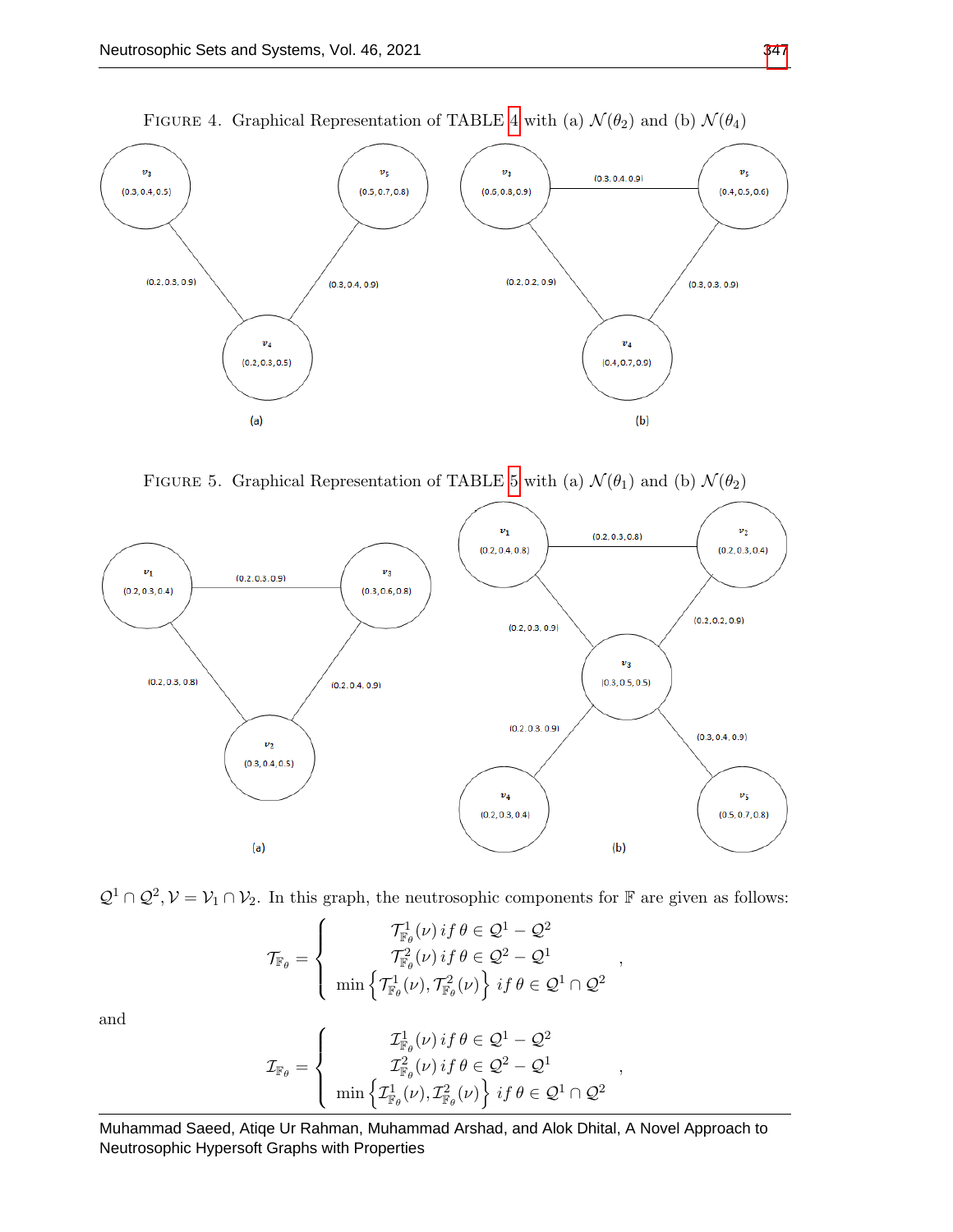

FIGURE [4](#page-10-0). Graphical Representation of TABLE 4 with (a)  $\mathcal{N}(\theta_2)$  and (b)  $\mathcal{N}(\theta_4)$ 

FIGURE [5](#page-10-1). Graphical Representation of TABLE 5 with (a)  $\mathcal{N}(\theta_1)$  and (b)  $\mathcal{N}(\theta_2)$ 





$$
\mathcal{T}_{\mathbb{F}_{\theta}} = \begin{cases}\n\mathcal{T}_{\mathbb{F}_{\theta}}^1(\nu) \, if \, \theta \in \mathcal{Q}^1 - \mathcal{Q}^2 \\
\mathcal{T}_{\mathbb{F}_{\theta}}^2(\nu) \, if \, \theta \in \mathcal{Q}^2 - \mathcal{Q}^1 \\
\min \left\{ \mathcal{T}_{\mathbb{F}_{\theta}}^1(\nu), \mathcal{T}_{\mathbb{F}_{\theta}}^2(\nu) \right\} \, if \, \theta \in \mathcal{Q}^1 \cap \mathcal{Q}^2\n\end{cases}
$$

,

and

$$
\mathcal{I}_{\mathbb{F}_{\theta}} = \begin{cases}\n\mathcal{I}_{\mathbb{F}_{\theta}}^1(\nu) \, if \, \theta \in \mathcal{Q}^1 - \mathcal{Q}^2 \\
\mathcal{I}_{\mathbb{F}_{\theta}}^2(\nu) \, if \, \theta \in \mathcal{Q}^2 - \mathcal{Q}^1 \\
\min \left\{ \mathcal{I}_{\mathbb{F}_{\theta}}^1(\nu), \mathcal{I}_{\mathbb{F}_{\theta}}^2(\nu) \right\} \, if \, \theta \in \mathcal{Q}^1 \cap \mathcal{Q}^2\n\end{cases},
$$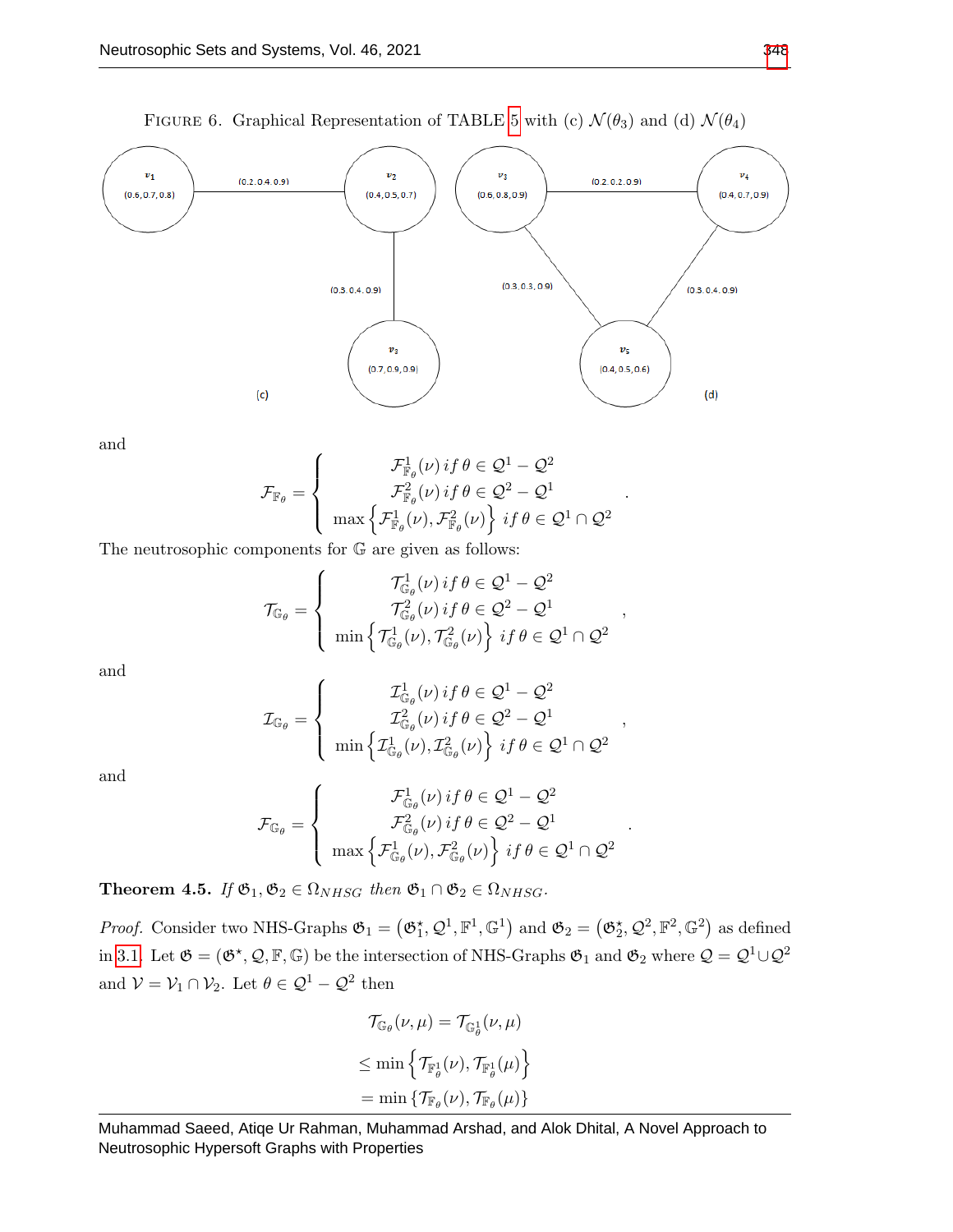

and

$$
\mathcal{F}_{\mathbb{F}_{\theta}} = \begin{cases}\n\mathcal{F}_{\mathbb{F}_{\theta}}^1(\nu) \, if \, \theta \in \mathcal{Q}^1 - \mathcal{Q}^2 \\
\mathcal{F}_{\mathbb{F}_{\theta}}^2(\nu) \, if \, \theta \in \mathcal{Q}^2 - \mathcal{Q}^1 \\
\max \left\{ \mathcal{F}_{\mathbb{F}_{\theta}}^1(\nu), \mathcal{F}_{\mathbb{F}_{\theta}}^2(\nu) \right\} \, if \, \theta \in \mathcal{Q}^1 \cap \mathcal{Q}^2\n\end{cases}.
$$

The neutrosophic components for G are given as follows:

$$
\mathcal{T}_{\mathbb{G}_{\theta}} = \left\{ \begin{array}{c} \mathcal{T}_{\mathbb{G}_{\theta}}^{1}(\nu) \, if \, \theta \in \mathcal{Q}^{1} - \mathcal{Q}^{2} \\ \mathcal{T}_{\mathbb{G}_{\theta}}^{2}(\nu) \, if \, \theta \in \mathcal{Q}^{2} - \mathcal{Q}^{1} \\ \min \left\{ \mathcal{T}_{\mathbb{G}_{\theta}}^{1}(\nu), \mathcal{T}_{\mathbb{G}_{\theta}}^{2}(\nu) \right\} \, if \, \theta \in \mathcal{Q}^{1} \cap \mathcal{Q}^{2} \end{array} \right.
$$

,

.

and

$$
\mathcal{I}_{\mathbb{G}_{\theta}} = \begin{cases}\n\mathcal{I}_{\mathbb{G}_{\theta}}^1(\nu) \, if \, \theta \in \mathcal{Q}^1 - \mathcal{Q}^2 \\
\mathcal{I}_{\mathbb{G}_{\theta}}^2(\nu) \, if \, \theta \in \mathcal{Q}^2 - \mathcal{Q}^1 \\
\min \left\{ \mathcal{I}_{\mathbb{G}_{\theta}}^1(\nu), \mathcal{I}_{\mathbb{G}_{\theta}}^2(\nu) \right\} \, if \, \theta \in \mathcal{Q}^1 \cap \mathcal{Q}^2\n\end{cases},
$$

and

$$
\mathcal{F}_{\mathbb{G}_{\theta}} = \begin{cases}\n\mathcal{F}_{\mathbb{G}_{\theta}}^1(\nu) \, if \, \theta \in \mathcal{Q}^1 - \mathcal{Q}^2 \\
\mathcal{F}_{\mathbb{G}_{\theta}}^2(\nu) \, if \, \theta \in \mathcal{Q}^2 - \mathcal{Q}^1 \\
\max \left\{ \mathcal{F}_{\mathbb{G}_{\theta}}^1(\nu), \mathcal{F}_{\mathbb{G}_{\theta}}^2(\nu) \right\} \, if \, \theta \in \mathcal{Q}^1 \cap \mathcal{Q}^2\n\end{cases}
$$

Theorem 4.5. If  $\mathfrak{G}_1, \mathfrak{G}_2 \in \Omega_{NHSG}$  then  $\mathfrak{G}_1 \cap \mathfrak{G}_2 \in \Omega_{NHSG}$ .

*Proof.* Consider two NHS-Graphs  $\mathfrak{G}_1 = (\mathfrak{G}_1^{\star}, \mathcal{Q}^1, \mathbb{F}^1, \mathbb{G}^1)$  and  $\mathfrak{G}_2 = (\mathfrak{G}_2^{\star}, \mathcal{Q}^2, \mathbb{F}^2, \mathbb{G}^2)$  as defined in [3.1.](#page-3-0) Let  $\mathfrak{G} = (\mathfrak{G}^*, \mathcal{Q}, \mathbb{F}, \mathbb{G})$  be the intersection of NHS-Graphs  $\mathfrak{G}_1$  and  $\mathfrak{G}_2$  where  $\mathcal{Q} = \mathcal{Q}^1 \cup \mathcal{Q}^2$ and  $V = V_1 \cap V_2$ . Let  $\theta \in \mathcal{Q}^1 - \mathcal{Q}^2$  then

$$
\mathcal{T}_{\mathbb{G}_{\theta}}(\nu,\mu) = \mathcal{T}_{\mathbb{G}_{\theta}^{1}}(\nu,\mu)
$$

$$
\leq \min \left\{ \mathcal{T}_{\mathbb{F}_{\theta}^{1}}(\nu), \mathcal{T}_{\mathbb{F}_{\theta}^{1}}(\mu) \right\}
$$

$$
= \min \left\{ \mathcal{T}_{\mathbb{F}_{\theta}}(\nu), \mathcal{T}_{\mathbb{F}_{\theta}}(\mu) \right\}
$$

Muhammad Saeed, Atiqe Ur Rahman, Muhammad Arshad, and Alok Dhital, A Novel Approach to Neutrosophic Hypersoft Graphs with Properties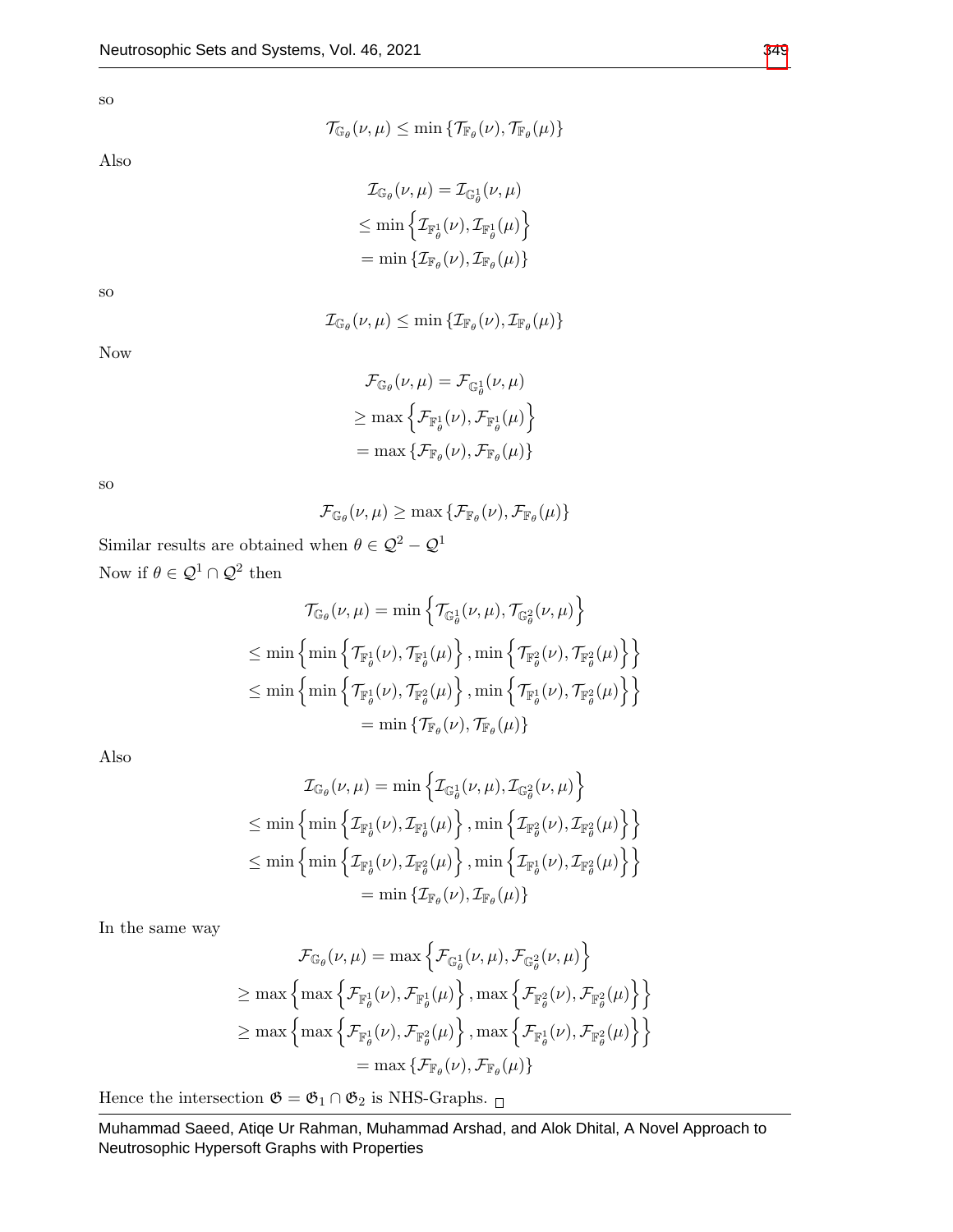so

Also

$$
\mathcal{T}_{\mathbb{G}_{\theta}}(\nu,\mu) \leq \min \left\{ \mathcal{T}_{\mathbb{F}_{\theta}}(\nu), \mathcal{T}_{\mathbb{F}_{\theta}}(\mu) \right\}
$$

$$
\mathcal{I}_{\mathbb{G}_{\theta}}(\nu,\mu) = \mathcal{I}_{\mathbb{G}_{\theta}^{1}}(\nu,\mu)
$$
  
\n
$$
\leq \min \left\{ \mathcal{I}_{\mathbb{F}_{\theta}^{1}}(\nu), \mathcal{I}_{\mathbb{F}_{\theta}^{1}}(\mu) \right\}
$$
  
\n
$$
= \min \left\{ \mathcal{I}_{\mathbb{F}_{\theta}}(\nu), \mathcal{I}_{\mathbb{F}_{\theta}}(\mu) \right\}
$$

 $\mathcal{I}_{\mathbb{G}_{\theta}}(\nu,\mu) \leq \min \left\{ \mathcal{I}_{\mathbb{F}_{\theta}}(\nu), \mathcal{I}_{\mathbb{F}_{\theta}}(\mu) \right\}$ 

so

Now

$$
\mathcal{F}_{\mathbb{G}_{\theta}}(\nu,\mu) = \mathcal{F}_{\mathbb{G}_{\theta}^{1}}(\nu,\mu)
$$

$$
\geq \max \left\{ \mathcal{F}_{\mathbb{F}_{\theta}^{1}}(\nu), \mathcal{F}_{\mathbb{F}_{\theta}^{1}}(\mu) \right\}
$$

$$
= \max \left\{ \mathcal{F}_{\mathbb{F}_{\theta}}(\nu), \mathcal{F}_{\mathbb{F}_{\theta}}(\mu) \right\}
$$

so

$$
\mathcal{F}_{\mathbb{G}_{\theta}}(\nu,\mu) \geq \max \left\{ \mathcal{F}_{\mathbb{F}_{\theta}}(\nu), \mathcal{F}_{\mathbb{F}_{\theta}}(\mu) \right\}
$$

Similar results are obtained when  $\theta \in \mathcal{Q}^2-\mathcal{Q}^1$ Now if  $\theta \in \mathcal{Q}^1 \cap \mathcal{Q}^2$  then

$$
\mathcal{T}_{\mathbb{G}_{\theta}}(\nu,\mu) = \min \left\{ \mathcal{T}_{\mathbb{G}_{\theta}^{1}}(\nu,\mu), \mathcal{T}_{\mathbb{G}_{\theta}^{2}}(\nu,\mu) \right\}
$$
  
\n
$$
\leq \min \left\{ \min \left\{ \mathcal{T}_{\mathbb{F}_{\theta}^{1}}(\nu), \mathcal{T}_{\mathbb{F}_{\theta}^{1}}(\mu) \right\}, \min \left\{ \mathcal{T}_{\mathbb{F}_{\theta}^{2}}(\nu), \mathcal{T}_{\mathbb{F}_{\theta}^{2}}(\mu) \right\} \right\}
$$
  
\n
$$
\leq \min \left\{ \min \left\{ \mathcal{T}_{\mathbb{F}_{\theta}^{1}}(\nu), \mathcal{T}_{\mathbb{F}_{\theta}^{2}}(\mu) \right\}, \min \left\{ \mathcal{T}_{\mathbb{F}_{\theta}^{1}}(\nu), \mathcal{T}_{\mathbb{F}_{\theta}^{2}}(\mu) \right\} \right\}
$$
  
\n
$$
= \min \left\{ \mathcal{T}_{\mathbb{F}_{\theta}}(\nu), \mathcal{T}_{\mathbb{F}_{\theta}}(\mu) \right\}
$$

Also

$$
\mathcal{I}_{\mathbb{G}_{\theta}}(\nu,\mu) = \min \left\{ \mathcal{I}_{\mathbb{G}_{\theta}^{1}}(\nu,\mu), \mathcal{I}_{\mathbb{G}_{\theta}^{2}}(\nu,\mu) \right\}
$$
  
\n
$$
\leq \min \left\{ \min \left\{ \mathcal{I}_{\mathbb{F}_{\theta}^{1}}(\nu), \mathcal{I}_{\mathbb{F}_{\theta}^{1}}(\mu) \right\}, \min \left\{ \mathcal{I}_{\mathbb{F}_{\theta}^{2}}(\nu), \mathcal{I}_{\mathbb{F}_{\theta}^{2}}(\mu) \right\} \right\}
$$
  
\n
$$
\leq \min \left\{ \min \left\{ \mathcal{I}_{\mathbb{F}_{\theta}^{1}}(\nu), \mathcal{I}_{\mathbb{F}_{\theta}^{2}}(\mu) \right\}, \min \left\{ \mathcal{I}_{\mathbb{F}_{\theta}^{1}}(\nu), \mathcal{I}_{\mathbb{F}_{\theta}^{2}}(\mu) \right\} \right\}
$$
  
\n
$$
= \min \left\{ \mathcal{I}_{\mathbb{F}_{\theta}}(\nu), \mathcal{I}_{\mathbb{F}_{\theta}}(\mu) \right\}
$$

In the same way

$$
\mathcal{F}_{\mathbb{G}_{\theta}}(\nu,\mu) = \max \left\{ \mathcal{F}_{\mathbb{G}_{\theta}^{1}}(\nu,\mu), \mathcal{F}_{\mathbb{G}_{\theta}^{2}}(\nu,\mu) \right\}
$$
\n
$$
\geq \max \left\{ \max \left\{ \mathcal{F}_{\mathbb{F}_{\theta}^{1}}(\nu), \mathcal{F}_{\mathbb{F}_{\theta}^{1}}(\mu) \right\}, \max \left\{ \mathcal{F}_{\mathbb{F}_{\theta}^{2}}(\nu), \mathcal{F}_{\mathbb{F}_{\theta}^{2}}(\mu) \right\} \right\}
$$
\n
$$
\geq \max \left\{ \max \left\{ \mathcal{F}_{\mathbb{F}_{\theta}^{1}}(\nu), \mathcal{F}_{\mathbb{F}_{\theta}^{2}}(\mu) \right\}, \max \left\{ \mathcal{F}_{\mathbb{F}_{\theta}^{1}}(\nu), \mathcal{F}_{\mathbb{F}_{\theta}^{2}}(\mu) \right\} \right\}
$$
\n
$$
= \max \left\{ \mathcal{F}_{\mathbb{F}_{\theta}}(\nu), \mathcal{F}_{\mathbb{F}_{\theta}}(\mu) \right\}
$$

Hence the intersection  $\mathfrak{G}=\mathfrak{G}_1\cap\mathfrak{G}_2$  is NHS-Graphs.  $_\Box$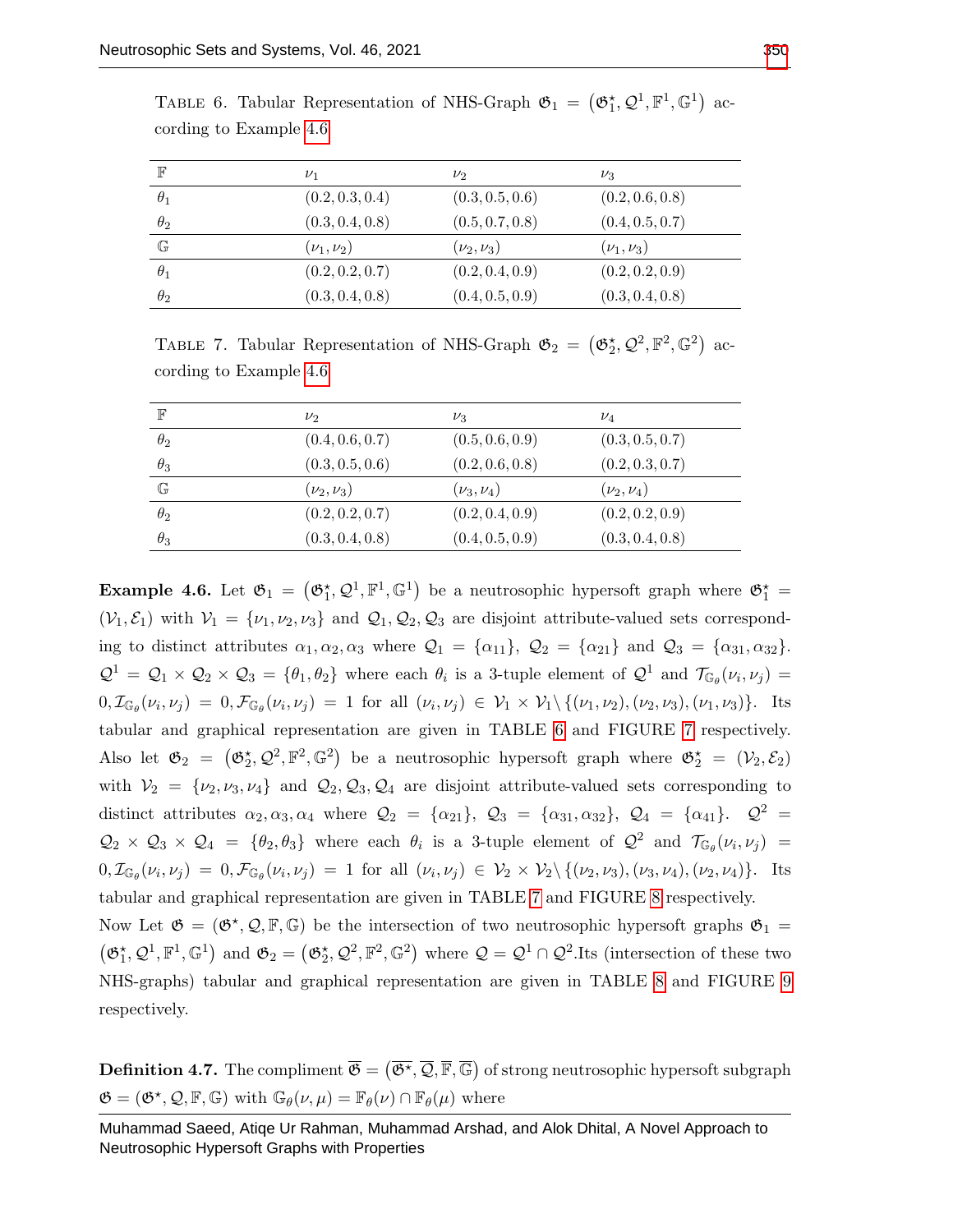| $\mathbb{F}$ | $\nu_1$          | $\nu_2$          | $\nu_3$          |
|--------------|------------------|------------------|------------------|
| $\theta_1$   | (0.2, 0.3, 0.4)  | (0.3, 0.5, 0.6)  | (0.2, 0.6, 0.8)  |
| $\theta_2$   | (0.3, 0.4, 0.8)  | (0.5, 0.7, 0.8)  | (0.4, 0.5, 0.7)  |
| $\mathbb{G}$ | $(\nu_1, \nu_2)$ | $(\nu_2, \nu_3)$ | $(\nu_1, \nu_3)$ |
| $\theta_1$   | (0.2, 0.2, 0.7)  | (0.2, 0.4, 0.9)  | (0.2, 0.2, 0.9)  |
| $\theta_2$   | (0.3, 0.4, 0.8)  | (0.4, 0.5, 0.9)  | (0.3, 0.4, 0.8)  |

<span id="page-14-1"></span>TABLE 6. Tabular Representation of NHS-Graph  $\mathfrak{G}_1 = (\mathfrak{G}_1^{\star}, \mathcal{Q}^1, \mathbb{F}^1, \mathbb{G}^1)$  according to Example [4.6](#page-14-0)

<span id="page-14-2"></span>TABLE 7. Tabular Representation of NHS-Graph  $\mathfrak{G}_2 = (\mathfrak{G}_2^{\star}, \mathcal{Q}^2, \mathbb{F}^2, \mathbb{G}^2)$  according to Example [4.6](#page-14-0)

| $\mathbb F$  | $\nu_2$          | $\nu_3$          | $\nu_4$              |
|--------------|------------------|------------------|----------------------|
| $\theta_2$   | (0.4, 0.6, 0.7)  | (0.5, 0.6, 0.9)  | (0.3, 0.5, 0.7)      |
| $\theta_3$   | (0.3, 0.5, 0.6)  | (0.2, 0.6, 0.8)  | (0.2, 0.3, 0.7)      |
| $\mathbb{G}$ | $(\nu_2, \nu_3)$ | $(\nu_3, \nu_4)$ | $(\nu_{2}, \nu_{4})$ |
| $\theta_2$   | (0.2, 0.2, 0.7)  | (0.2, 0.4, 0.9)  | (0.2, 0.2, 0.9)      |
| $\theta_3$   | (0.3, 0.4, 0.8)  | (0.4, 0.5, 0.9)  | (0.3, 0.4, 0.8)      |

<span id="page-14-0"></span>**Example 4.6.** Let  $\mathfrak{G}_1 = (\mathfrak{G}_1^*, \mathcal{Q}^1, \mathbb{F}^1, \mathbb{G}^1)$  be a neutrosophic hypersoft graph where  $\mathfrak{G}_1^* =$  $(V_1, \mathcal{E}_1)$  with  $V_1 = \{v_1, v_2, v_3\}$  and  $\mathcal{Q}_1, \mathcal{Q}_2, \mathcal{Q}_3$  are disjoint attribute-valued sets corresponding to distinct attributes  $\alpha_1, \alpha_2, \alpha_3$  where  $\mathcal{Q}_1 = {\alpha_{11}}, \mathcal{Q}_2 = {\alpha_{21}}$  and  $\mathcal{Q}_3 = {\alpha_{31}, \alpha_{32}}$ .  $\mathcal{Q}^1 = \mathcal{Q}_1 \times \mathcal{Q}_2 \times \mathcal{Q}_3 = \{\theta_1, \theta_2\}$  where each  $\theta_i$  is a 3-tuple element of  $\mathcal{Q}^1$  and  $\mathcal{T}_{\mathbb{G}_{\theta}}(\nu_i, \nu_j)$  $0, \mathcal{I}_{\mathbb{G}_{\theta}}(\nu_i, \nu_j) = 0, \mathcal{F}_{\mathbb{G}_{\theta}}(\nu_i, \nu_j) = 1$  for all  $(\nu_i, \nu_j) \in \mathcal{V}_1 \times \mathcal{V}_1 \setminus \{(\nu_1, \nu_2), (\nu_2, \nu_3), (\nu_1, \nu_3)\}.$  Its tabular and graphical representation are given in TABLE [6](#page-14-1) and FIGURE [7](#page-15-0) respectively. Also let  $\mathfrak{G}_2 = (\mathfrak{G}_2^{\star}, \mathcal{Q}^2, \mathbb{F}^2, \mathbb{G}^2)$  be a neutrosophic hypersoft graph where  $\mathfrak{G}_2^{\star} = (\mathcal{V}_2, \mathcal{E}_2)$ with  $V_2 = \{\nu_2, \nu_3, \nu_4\}$  and  $\mathcal{Q}_2, \mathcal{Q}_3, \mathcal{Q}_4$  are disjoint attribute-valued sets corresponding to distinct attributes  $\alpha_2, \alpha_3, \alpha_4$  where  $\mathcal{Q}_2 = {\alpha_{21}}, \mathcal{Q}_3 = {\alpha_{31}, \alpha_{32}}, \mathcal{Q}_4 = {\alpha_{41}}.$   $\mathcal{Q}^2 =$  $\mathcal{Q}_2 \times \mathcal{Q}_3 \times \mathcal{Q}_4 = \{\theta_2, \theta_3\}$  where each  $\theta_i$  is a 3-tuple element of  $\mathcal{Q}^2$  and  $\mathcal{T}_{\mathbb{G}_{\theta}}(\nu_i, \nu_j)$  $0, \mathcal{I}_{\mathbb{G}_{\theta}}(\nu_{i}, \nu_{j}) = 0, \mathcal{F}_{\mathbb{G}_{\theta}}(\nu_{i}, \nu_{j}) = 1$  for all  $(\nu_{i}, \nu_{j}) \in \mathcal{V}_{2} \times \mathcal{V}_{2} \setminus \{(\nu_{2}, \nu_{3}), (\nu_{3}, \nu_{4}), (\nu_{2}, \nu_{4})\}.$  Its tabular and graphical representation are given in TABLE [7](#page-14-2) and FIGURE [8](#page-15-1) respectively. Now Let  $\mathfrak{G} = (\mathfrak{G}^*, \mathcal{Q}, \mathbb{F}, \mathbb{G})$  be the intersection of two neutrosophic hypersoft graphs  $\mathfrak{G}_1 =$  $(\mathfrak{G}_1^*, \mathcal{Q}^1, \mathbb{F}^1, \mathbb{G}^1)$  and  $\mathfrak{G}_2 = (\mathfrak{G}_2^*, \mathcal{Q}^2, \mathbb{F}^2, \mathbb{G}^2)$  where  $\mathcal{Q} = \mathcal{Q}^1 \cap \mathcal{Q}^2$ . Its (intersection of these two NHS-graphs) tabular and graphical representation are given in TABLE [8](#page-15-2) and FIGURE [9](#page-16-0) respectively.

**Definition 4.7.** The compliment  $\overline{\mathfrak{G}} = (\overline{\mathfrak{G}^{\star}}, \overline{\mathcal{Q}}, \overline{\mathbb{F}}, \overline{\mathbb{G}})$  of strong neutrosophic hypersoft subgraph  $\mathfrak{G} = (\mathfrak{G}^*, \mathcal{Q}, \mathbb{F}, \mathbb{G})$  with  $\mathbb{G}_{\theta}(\nu, \mu) = \mathbb{F}_{\theta}(\nu) \cap \mathbb{F}_{\theta}(\mu)$  where

Muhammad Saeed, Atiqe Ur Rahman, Muhammad Arshad, and Alok Dhital, A Novel Approach to Neutrosophic Hypersoft Graphs with Properties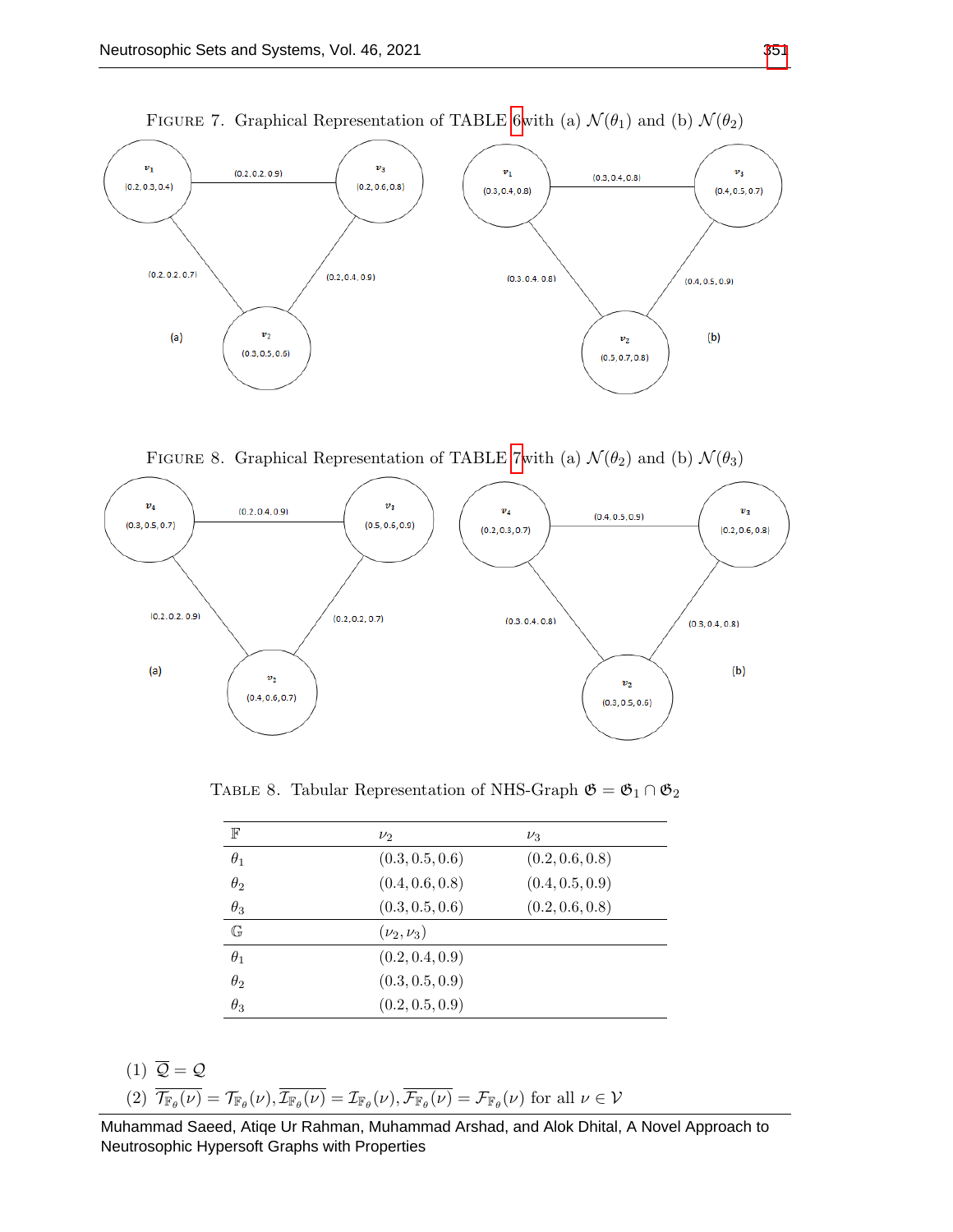<span id="page-15-0"></span>

FIGURE 7. Graphical Representation of TABLE 6<br>with (a)  $\mathcal{N}(\theta_1)$  and (b)  $\mathcal{N}(\theta_2)$ 

FIGURE 8. Graphical Representation of TABLE [7w](#page-14-2)ith (a)  $\mathcal{N}(\theta_2)$  and (b)  $\mathcal{N}(\theta_3)$ 

<span id="page-15-1"></span>

<span id="page-15-2"></span>TABLE 8. Tabular Representation of NHS-Graph  $\mathfrak{G}=\mathfrak{G}_1\cap\mathfrak{G}_2$ 

| $\mathbb F$  | $\nu_2$          | $\nu_3$         |
|--------------|------------------|-----------------|
| $\theta_1$   | (0.3, 0.5, 0.6)  | (0.2, 0.6, 0.8) |
| $\theta_2$   | (0.4, 0.6, 0.8)  | (0.4, 0.5, 0.9) |
| $\theta_3$   | (0.3, 0.5, 0.6)  | (0.2, 0.6, 0.8) |
| $\mathbb{G}$ | $(\nu_2, \nu_3)$ |                 |
| $\theta_1$   | (0.2, 0.4, 0.9)  |                 |
| $\theta_2$   | (0.3, 0.5, 0.9)  |                 |
| $\theta_3$   | (0.2, 0.5, 0.9)  |                 |

$$
(1) \ \overline{\mathcal{Q}} = \mathcal{Q}
$$

(2) 
$$
\overline{\mathcal{T}_{\mathbb{F}_{\theta}}(\nu)} = \mathcal{T}_{\mathbb{F}_{\theta}}(\nu), \overline{\mathcal{I}_{\mathbb{F}_{\theta}}(\nu)} = \mathcal{I}_{\mathbb{F}_{\theta}}(\nu), \overline{\mathcal{F}_{\mathbb{F}_{\theta}}(\nu)} = \mathcal{F}_{\mathbb{F}_{\theta}}(\nu)
$$
 for all  $\nu \in \mathcal{V}$ 

Muhammad Saeed, Atiqe Ur Rahman, Muhammad Arshad, and Alok Dhital, A Novel Approach to Neutrosophic Hypersoft Graphs with Properties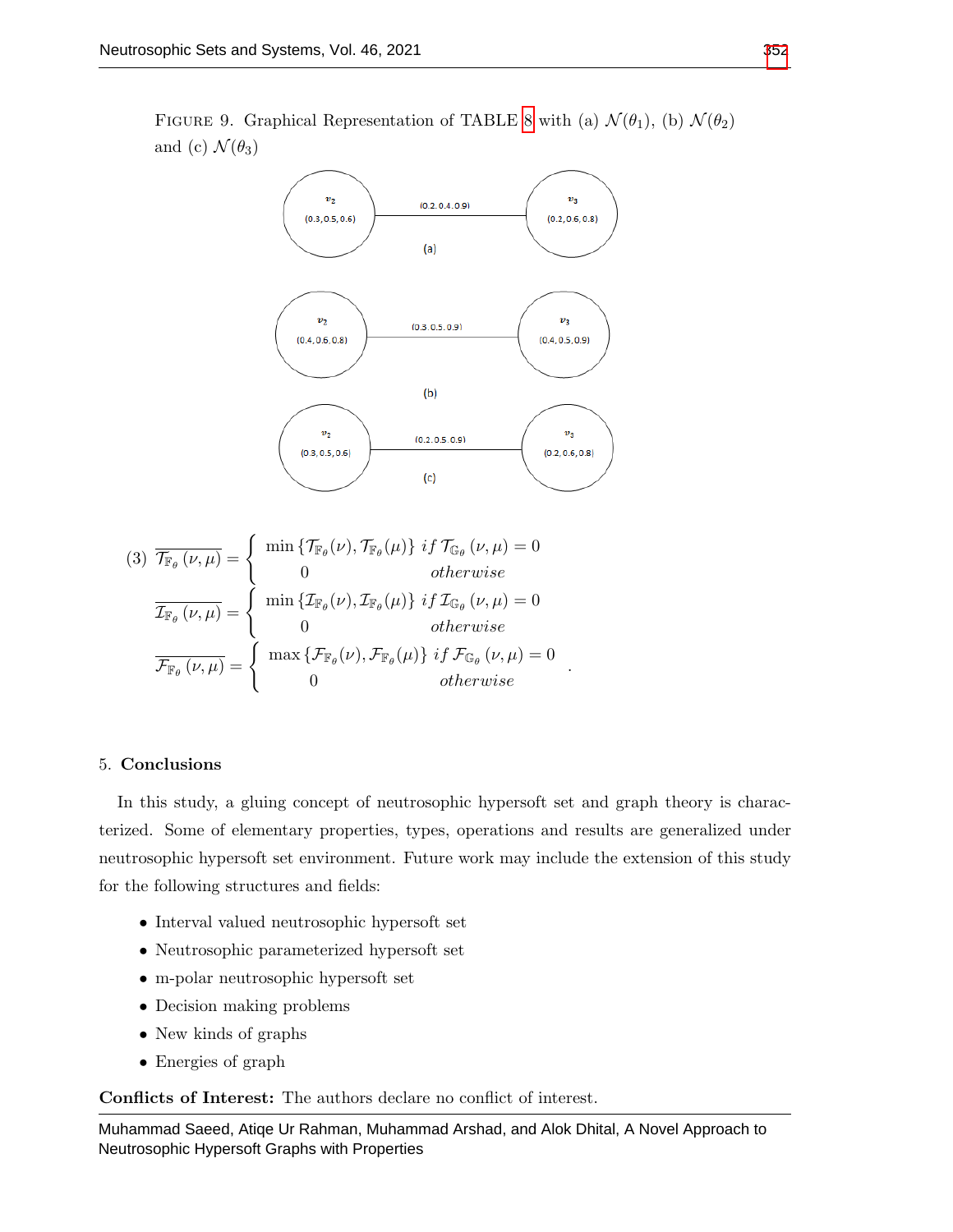<span id="page-16-0"></span>FIGURE 9. Graphical Representation of TABLE [8](#page-15-2) with (a)  $\mathcal{N}(\theta_1)$ , (b)  $\mathcal{N}(\theta_2)$ and (c)  $\mathcal{N}(\theta_3)$ 



$$
(3) \quad \overline{\mathcal{T}_{\mathbb{F}_{\theta}}(\nu,\mu)} = \begin{cases} \min \{ \mathcal{T}_{\mathbb{F}_{\theta}}(\nu), \mathcal{T}_{\mathbb{F}_{\theta}}(\mu) \} \; if \; \mathcal{T}_{\mathbb{G}_{\theta}}(\nu,\mu) = 0 \\ 0 & otherwise \end{cases}
$$

$$
\overline{\mathcal{I}_{\mathbb{F}_{\theta}}(\nu,\mu)} = \begin{cases} \min \{ \mathcal{I}_{\mathbb{F}_{\theta}}(\nu), \mathcal{I}_{\mathbb{F}_{\theta}}(\mu) \} \; if \; \mathcal{I}_{\mathbb{G}_{\theta}}(\nu,\mu) = 0 \\ 0 & otherwise \end{cases}
$$

$$
\overline{\mathcal{F}_{\mathbb{F}_{\theta}}(\nu,\mu)} = \begin{cases} \max \{ \mathcal{F}_{\mathbb{F}_{\theta}}(\nu), \mathcal{F}_{\mathbb{F}_{\theta}}(\mu) \} \; if \; \mathcal{F}_{\mathbb{G}_{\theta}}(\nu,\mu) = 0 \\ 0 & otherwise \end{cases}
$$

### 5. Conclusions

In this study, a gluing concept of neutrosophic hypersoft set and graph theory is characterized. Some of elementary properties, types, operations and results are generalized under neutrosophic hypersoft set environment. Future work may include the extension of this study for the following structures and fields:

.

- Interval valued neutrosophic hypersoft set
- Neutrosophic parameterized hypersoft set
- m-polar neutrosophic hypersoft set
- Decision making problems
- New kinds of graphs
- Energies of graph

Conflicts of Interest: The authors declare no conflict of interest.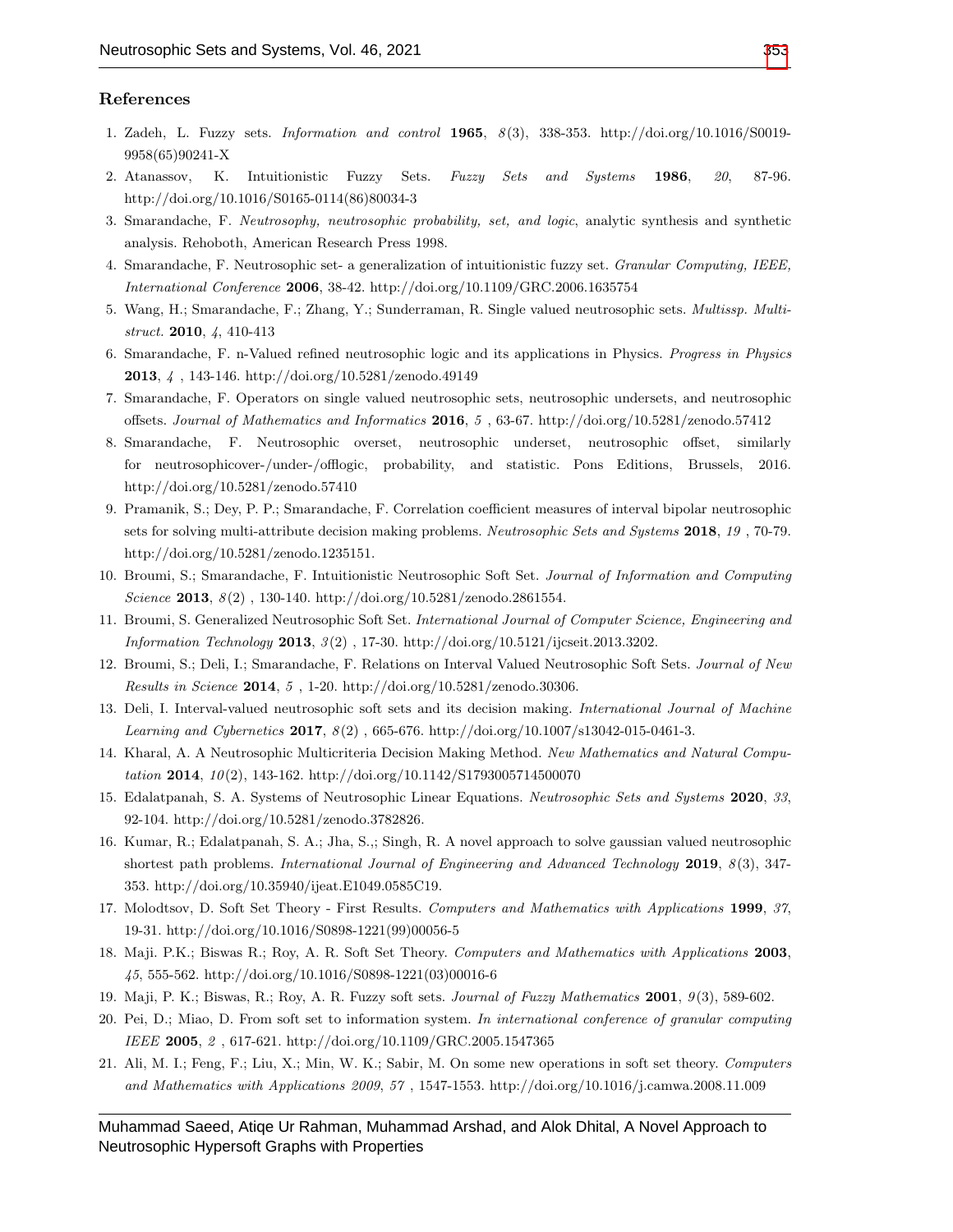## References

- <span id="page-17-0"></span>1. Zadeh, L. Fuzzy sets. Information and control 1965, 8 (3), 338-353. http://doi.org/10.1016/S0019- 9958(65)90241-X
- <span id="page-17-1"></span>2. Atanassov, K. Intuitionistic Fuzzy Sets. Fuzzy Sets and Systems 1986, 20, 87-96. http://doi.org/10.1016/S0165-0114(86)80034-3
- <span id="page-17-2"></span>3. Smarandache, F. Neutrosophy, neutrosophic probability, set, and logic, analytic synthesis and synthetic analysis. Rehoboth, American Research Press 1998.
- <span id="page-17-3"></span>4. Smarandache, F. Neutrosophic set- a generalization of intuitionistic fuzzy set. Granular Computing, IEEE, International Conference 2006, 38-42. http://doi.org/10.1109/GRC.2006.1635754
- <span id="page-17-4"></span>5. Wang, H.; Smarandache, F.; Zhang, Y.; Sunderraman, R. Single valued neutrosophic sets. Multissp. Multistruct. 2010, 4, 410-413
- <span id="page-17-5"></span>6. Smarandache, F. n-Valued refined neutrosophic logic and its applications in Physics. Progress in Physics 2013, 4 , 143-146. http://doi.org/10.5281/zenodo.49149
- 7. Smarandache, F. Operators on single valued neutrosophic sets, neutrosophic undersets, and neutrosophic offsets. Journal of Mathematics and Informatics 2016, 5 , 63-67. http://doi.org/10.5281/zenodo.57412
- 8. Smarandache, F. Neutrosophic overset, neutrosophic underset, neutrosophic offset, similarly for neutrosophicover-/under-/offlogic, probability, and statistic. Pons Editions, Brussels, 2016. http://doi.org/10.5281/zenodo.57410
- 9. Pramanik, S.; Dey, P. P.; Smarandache, F. Correlation coefficient measures of interval bipolar neutrosophic sets for solving multi-attribute decision making problems. Neutrosophic Sets and Systems 2018, 19 , 70-79. http://doi.org/10.5281/zenodo.1235151.
- 10. Broumi, S.; Smarandache, F. Intuitionistic Neutrosophic Soft Set. Journal of Information and Computing Science 2013,  $8(2)$ , 130-140. http://doi.org/10.5281/zenodo.2861554.
- 11. Broumi, S. Generalized Neutrosophic Soft Set. International Journal of Computer Science, Engineering and Information Technology 2013, 3 (2) , 17-30. http://doi.org/10.5121/ijcseit.2013.3202.
- 12. Broumi, S.; Deli, I.; Smarandache, F. Relations on Interval Valued Neutrosophic Soft Sets. Journal of New Results in Science 2014, 5 , 1-20. http://doi.org/10.5281/zenodo.30306.
- 13. Deli, I. Interval-valued neutrosophic soft sets and its decision making. International Journal of Machine Learning and Cybernetics 2017,  $8(2)$ , 665-676. http://doi.org/10.1007/s13042-015-0461-3.
- <span id="page-17-6"></span>14. Kharal, A. A Neutrosophic Multicriteria Decision Making Method. New Mathematics and Natural Computation 2014,  $10(2)$ , 143-162. http://doi.org/10.1142/S1793005714500070
- <span id="page-17-7"></span>15. Edalatpanah, S. A. Systems of Neutrosophic Linear Equations. Neutrosophic Sets and Systems 2020, 33, 92-104. http://doi.org/10.5281/zenodo.3782826.
- <span id="page-17-8"></span>16. Kumar, R.; Edalatpanah, S. A.; Jha, S.,; Singh, R. A novel approach to solve gaussian valued neutrosophic shortest path problems. International Journal of Engineering and Advanced Technology 2019, 8(3), 347-353. http://doi.org/10.35940/ijeat.E1049.0585C19.
- <span id="page-17-9"></span>17. Molodtsov, D. Soft Set Theory - First Results. Computers and Mathematics with Applications 1999, 37, 19-31. http://doi.org/10.1016/S0898-1221(99)00056-5
- <span id="page-17-10"></span>18. Maji. P.K.; Biswas R.; Roy, A. R. Soft Set Theory. Computers and Mathematics with Applications 2003, 45, 555-562. http://doi.org/10.1016/S0898-1221(03)00016-6
- <span id="page-17-11"></span>19. Maji, P. K.; Biswas, R.; Roy, A. R. Fuzzy soft sets. Journal of Fuzzy Mathematics 2001, 9 (3), 589-602.
- 20. Pei, D.; Miao, D. From soft set to information system. In international conference of granular computing IEEE 2005, 2 , 617-621. http://doi.org/10.1109/GRC.2005.1547365
- 21. Ali, M. I.; Feng, F.; Liu, X.; Min, W. K.; Sabir, M. On some new operations in soft set theory. Computers and Mathematics with Applications 2009, 57 , 1547-1553. http://doi.org/10.1016/j.camwa.2008.11.009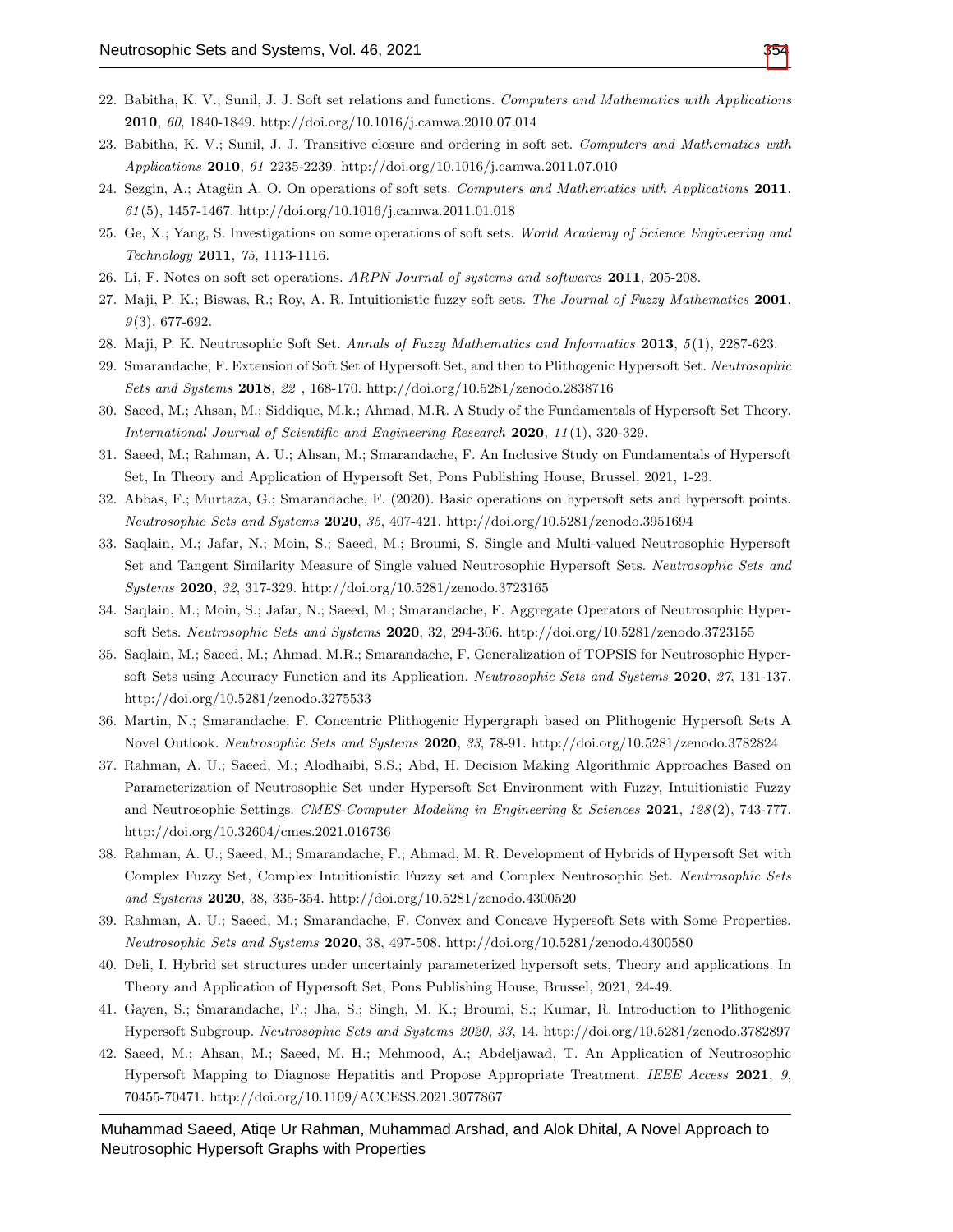- 22. Babitha, K. V.; Sunil, J. J. Soft set relations and functions. Computers and Mathematics with Applications 2010, 60, 1840-1849. http://doi.org/10.1016/j.camwa.2010.07.014
- 23. Babitha, K. V.; Sunil, J. J. Transitive closure and ordering in soft set. Computers and Mathematics with Applications 2010, 61 2235-2239. http://doi.org/10.1016/j.camwa.2011.07.010
- 24. Sezgin, A.; Atagün A. O. On operations of soft sets. Computers and Mathematics with Applications 2011,  $61(5)$ , 1457-1467. http://doi.org/10.1016/j.camwa.2011.01.018
- 25. Ge, X.; Yang, S. Investigations on some operations of soft sets. World Academy of Science Engineering and Technology 2011, 75, 1113-1116.
- 26. Li, F. Notes on soft set operations. ARPN Journal of systems and softwares 2011, 205-208.
- <span id="page-18-0"></span>27. Maji, P. K.; Biswas, R.; Roy, A. R. Intuitionistic fuzzy soft sets. The Journal of Fuzzy Mathematics 2001,  $9(3)$ , 677-692.
- <span id="page-18-1"></span>28. Maji, P. K. Neutrosophic Soft Set. Annals of Fuzzy Mathematics and Informatics 2013, 5(1), 2287-623.
- <span id="page-18-2"></span>29. Smarandache, F. Extension of Soft Set of Hypersoft Set, and then to Plithogenic Hypersoft Set. Neutrosophic Sets and Systems 2018, 22 , 168-170. http://doi.org/10.5281/zenodo.2838716
- <span id="page-18-3"></span>30. Saeed, M.; Ahsan, M.; Siddique, M.k.; Ahmad, M.R. A Study of the Fundamentals of Hypersoft Set Theory. International Journal of Scientific and Engineering Research 2020, 11(1), 320-329.
- 31. Saeed, M.; Rahman, A. U.; Ahsan, M.; Smarandache, F. An Inclusive Study on Fundamentals of Hypersoft Set, In Theory and Application of Hypersoft Set, Pons Publishing House, Brussel, 2021, 1-23.
- <span id="page-18-4"></span>32. Abbas, F.; Murtaza, G.; Smarandache, F. (2020). Basic operations on hypersoft sets and hypersoft points. Neutrosophic Sets and Systems 2020, 35, 407-421. http://doi.org/10.5281/zenodo.3951694
- <span id="page-18-5"></span>33. Saqlain, M.; Jafar, N.; Moin, S.; Saeed, M.; Broumi, S. Single and Multi-valued Neutrosophic Hypersoft Set and Tangent Similarity Measure of Single valued Neutrosophic Hypersoft Sets. Neutrosophic Sets and Systems 2020, 32, 317-329. http://doi.org/10.5281/zenodo.3723165
- 34. Saqlain, M.; Moin, S.; Jafar, N.; Saeed, M.; Smarandache, F. Aggregate Operators of Neutrosophic Hypersoft Sets. Neutrosophic Sets and Systems 2020, 32, 294-306. http://doi.org/10.5281/zenodo.3723155
- 35. Saqlain, M.; Saeed, M.; Ahmad, M.R.; Smarandache, F. Generalization of TOPSIS for Neutrosophic Hypersoft Sets using Accuracy Function and its Application. Neutrosophic Sets and Systems 2020, 27, 131-137. http://doi.org/10.5281/zenodo.3275533
- 36. Martin, N.; Smarandache, F. Concentric Plithogenic Hypergraph based on Plithogenic Hypersoft Sets A Novel Outlook. Neutrosophic Sets and Systems 2020, 33, 78-91. http://doi.org/10.5281/zenodo.3782824
- <span id="page-18-6"></span>37. Rahman, A. U.; Saeed, M.; Alodhaibi, S.S.; Abd, H. Decision Making Algorithmic Approaches Based on Parameterization of Neutrosophic Set under Hypersoft Set Environment with Fuzzy, Intuitionistic Fuzzy and Neutrosophic Settings. CMES-Computer Modeling in Engineering & Sciences 2021, 128(2), 743-777. http://doi.org/10.32604/cmes.2021.016736
- <span id="page-18-7"></span>38. Rahman, A. U.; Saeed, M.; Smarandache, F.; Ahmad, M. R. Development of Hybrids of Hypersoft Set with Complex Fuzzy Set, Complex Intuitionistic Fuzzy set and Complex Neutrosophic Set. Neutrosophic Sets and Systems 2020, 38, 335-354. http://doi.org/10.5281/zenodo.4300520
- <span id="page-18-8"></span>39. Rahman, A. U.; Saeed, M.; Smarandache, F. Convex and Concave Hypersoft Sets with Some Properties. Neutrosophic Sets and Systems 2020, 38, 497-508. http://doi.org/10.5281/zenodo.4300580
- <span id="page-18-9"></span>40. Deli, I. Hybrid set structures under uncertainly parameterized hypersoft sets, Theory and applications. In Theory and Application of Hypersoft Set, Pons Publishing House, Brussel, 2021, 24-49.
- <span id="page-18-10"></span>41. Gayen, S.; Smarandache, F.; Jha, S.; Singh, M. K.; Broumi, S.; Kumar, R. Introduction to Plithogenic Hypersoft Subgroup. Neutrosophic Sets and Systems 2020, 33, 14. http://doi.org/10.5281/zenodo.3782897
- <span id="page-18-11"></span>42. Saeed, M.; Ahsan, M.; Saeed, M. H.; Mehmood, A.; Abdeljawad, T. An Application of Neutrosophic Hypersoft Mapping to Diagnose Hepatitis and Propose Appropriate Treatment. IEEE Access 2021, 9, 70455-70471. http://doi.org/10.1109/ACCESS.2021.3077867